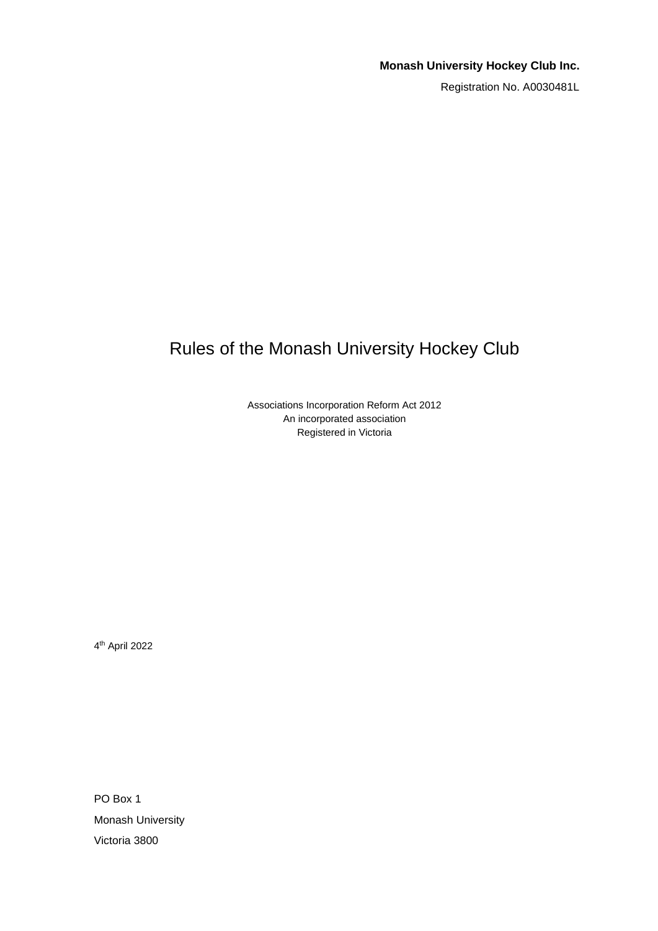# **Monash University Hockey Club Inc.**

Registration No. A0030481L

# <span id="page-0-0"></span>Rules of the Monash University Hockey Club

Associations Incorporation Reform Act 2012 An incorporated association Registered in Victoria

4 th April 2022

PO Box 1 Monash University Victoria 3800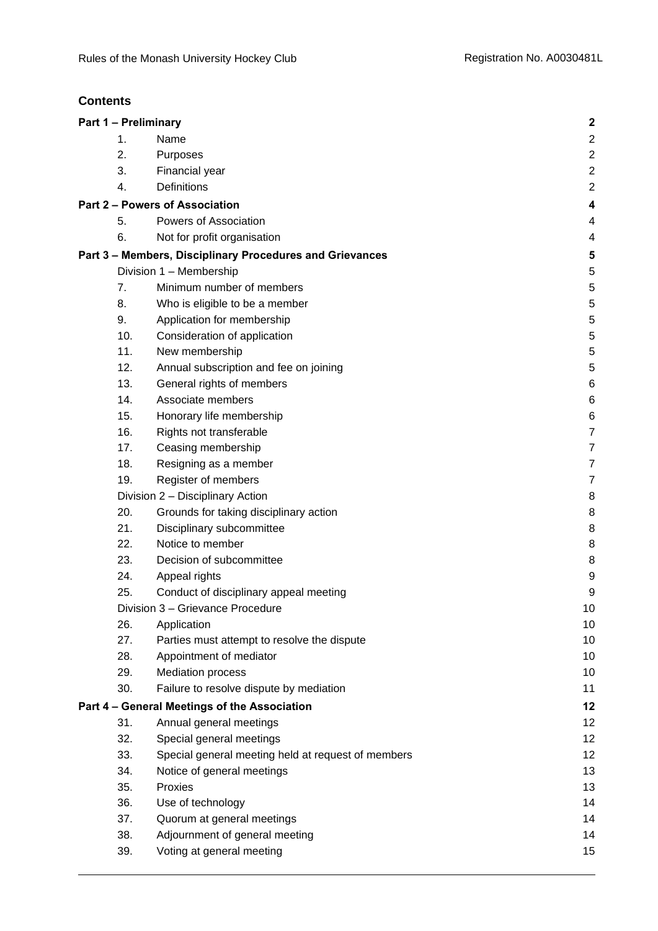# **Contents**

| Part 1 - Preliminary             |                                                          | $\mathbf{2}$            |
|----------------------------------|----------------------------------------------------------|-------------------------|
| 1.                               | Name                                                     | $\overline{2}$          |
| 2.                               | Purposes                                                 | $\overline{\mathbf{c}}$ |
| 3.                               | Financial year                                           | $\overline{c}$          |
| 4.                               | <b>Definitions</b>                                       | $\overline{2}$          |
|                                  | Part 2 - Powers of Association                           | 4                       |
| 5.                               | Powers of Association                                    | 4                       |
| 6.                               | Not for profit organisation                              | 4                       |
|                                  | Part 3 - Members, Disciplinary Procedures and Grievances | 5                       |
|                                  | Division 1 - Membership                                  | 5                       |
| 7.                               | Minimum number of members                                | 5                       |
| 8.                               | Who is eligible to be a member                           | 5                       |
| 9.                               | Application for membership                               | 5                       |
| 10.                              | Consideration of application                             | 5                       |
| 11.                              | New membership                                           | 5                       |
| 12.                              | Annual subscription and fee on joining                   | 5                       |
| 13.                              | General rights of members                                | 6                       |
| 14.                              | Associate members                                        | 6                       |
| 15.                              | Honorary life membership                                 | 6                       |
| 16.                              | Rights not transferable                                  | $\overline{7}$          |
| 17.                              | Ceasing membership                                       | 7                       |
| 18.                              | Resigning as a member                                    | $\overline{7}$          |
| 19.                              | Register of members                                      | 7                       |
|                                  | Division 2 - Disciplinary Action                         | 8                       |
| 20.                              | Grounds for taking disciplinary action                   | 8                       |
| 21.                              | Disciplinary subcommittee                                | 8                       |
| 22.                              | Notice to member                                         | 8                       |
| 23.                              | Decision of subcommittee                                 | 8                       |
| 24.                              | Appeal rights                                            | 9                       |
| 25.                              | Conduct of disciplinary appeal meeting                   | 9                       |
| Division 3 - Grievance Procedure |                                                          | 10                      |
| 26.                              | Application                                              | 10                      |
| 27.                              | Parties must attempt to resolve the dispute              | 10                      |
| 28.                              | Appointment of mediator                                  | 10                      |
| 29.                              | <b>Mediation process</b>                                 | 10                      |
| 30.                              | Failure to resolve dispute by mediation                  | 11                      |
|                                  | Part 4 - General Meetings of the Association             | 12                      |
| 31.                              | Annual general meetings                                  | 12                      |
| 32.                              | Special general meetings                                 | 12                      |
| 33.                              | Special general meeting held at request of members       | 12                      |
| 34.                              | Notice of general meetings                               | 13                      |
| 35.                              | Proxies                                                  | 13                      |
| 36.                              | Use of technology                                        | 14                      |
| 37.                              | Quorum at general meetings                               | 14                      |
| 38.                              | Adjournment of general meeting                           | 14                      |
| 39.                              | Voting at general meeting                                | 15                      |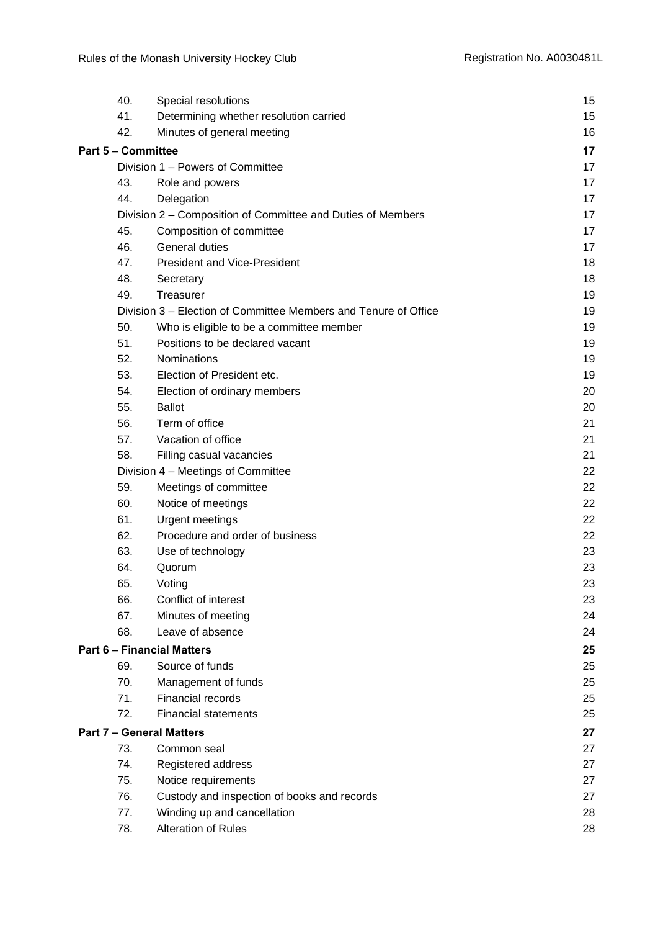| 40.                                                                                                                                                                                                                                                                                                                                                                                                                                                                                                                                                                                                                                                                                                                                                                                                                                                                                                                      | Special resolutions                    | 15 |
|--------------------------------------------------------------------------------------------------------------------------------------------------------------------------------------------------------------------------------------------------------------------------------------------------------------------------------------------------------------------------------------------------------------------------------------------------------------------------------------------------------------------------------------------------------------------------------------------------------------------------------------------------------------------------------------------------------------------------------------------------------------------------------------------------------------------------------------------------------------------------------------------------------------------------|----------------------------------------|----|
| 41.                                                                                                                                                                                                                                                                                                                                                                                                                                                                                                                                                                                                                                                                                                                                                                                                                                                                                                                      | Determining whether resolution carried | 15 |
|                                                                                                                                                                                                                                                                                                                                                                                                                                                                                                                                                                                                                                                                                                                                                                                                                                                                                                                          |                                        | 16 |
|                                                                                                                                                                                                                                                                                                                                                                                                                                                                                                                                                                                                                                                                                                                                                                                                                                                                                                                          |                                        | 17 |
|                                                                                                                                                                                                                                                                                                                                                                                                                                                                                                                                                                                                                                                                                                                                                                                                                                                                                                                          |                                        | 17 |
|                                                                                                                                                                                                                                                                                                                                                                                                                                                                                                                                                                                                                                                                                                                                                                                                                                                                                                                          |                                        | 17 |
|                                                                                                                                                                                                                                                                                                                                                                                                                                                                                                                                                                                                                                                                                                                                                                                                                                                                                                                          |                                        | 17 |
|                                                                                                                                                                                                                                                                                                                                                                                                                                                                                                                                                                                                                                                                                                                                                                                                                                                                                                                          |                                        | 17 |
|                                                                                                                                                                                                                                                                                                                                                                                                                                                                                                                                                                                                                                                                                                                                                                                                                                                                                                                          |                                        | 17 |
|                                                                                                                                                                                                                                                                                                                                                                                                                                                                                                                                                                                                                                                                                                                                                                                                                                                                                                                          |                                        | 17 |
|                                                                                                                                                                                                                                                                                                                                                                                                                                                                                                                                                                                                                                                                                                                                                                                                                                                                                                                          |                                        | 18 |
|                                                                                                                                                                                                                                                                                                                                                                                                                                                                                                                                                                                                                                                                                                                                                                                                                                                                                                                          |                                        | 18 |
|                                                                                                                                                                                                                                                                                                                                                                                                                                                                                                                                                                                                                                                                                                                                                                                                                                                                                                                          |                                        | 19 |
|                                                                                                                                                                                                                                                                                                                                                                                                                                                                                                                                                                                                                                                                                                                                                                                                                                                                                                                          |                                        | 19 |
|                                                                                                                                                                                                                                                                                                                                                                                                                                                                                                                                                                                                                                                                                                                                                                                                                                                                                                                          |                                        | 19 |
|                                                                                                                                                                                                                                                                                                                                                                                                                                                                                                                                                                                                                                                                                                                                                                                                                                                                                                                          |                                        | 19 |
|                                                                                                                                                                                                                                                                                                                                                                                                                                                                                                                                                                                                                                                                                                                                                                                                                                                                                                                          |                                        | 19 |
|                                                                                                                                                                                                                                                                                                                                                                                                                                                                                                                                                                                                                                                                                                                                                                                                                                                                                                                          | Election of President etc.             | 19 |
| 54.                                                                                                                                                                                                                                                                                                                                                                                                                                                                                                                                                                                                                                                                                                                                                                                                                                                                                                                      |                                        | 20 |
| 55.                                                                                                                                                                                                                                                                                                                                                                                                                                                                                                                                                                                                                                                                                                                                                                                                                                                                                                                      | <b>Ballot</b>                          | 20 |
| 56.                                                                                                                                                                                                                                                                                                                                                                                                                                                                                                                                                                                                                                                                                                                                                                                                                                                                                                                      | Term of office                         | 21 |
| 57.                                                                                                                                                                                                                                                                                                                                                                                                                                                                                                                                                                                                                                                                                                                                                                                                                                                                                                                      | Vacation of office                     | 21 |
| 58.                                                                                                                                                                                                                                                                                                                                                                                                                                                                                                                                                                                                                                                                                                                                                                                                                                                                                                                      | Filling casual vacancies               | 21 |
|                                                                                                                                                                                                                                                                                                                                                                                                                                                                                                                                                                                                                                                                                                                                                                                                                                                                                                                          |                                        | 22 |
| 59.                                                                                                                                                                                                                                                                                                                                                                                                                                                                                                                                                                                                                                                                                                                                                                                                                                                                                                                      | Meetings of committee                  | 22 |
| 60.                                                                                                                                                                                                                                                                                                                                                                                                                                                                                                                                                                                                                                                                                                                                                                                                                                                                                                                      | Notice of meetings                     | 22 |
| 61.                                                                                                                                                                                                                                                                                                                                                                                                                                                                                                                                                                                                                                                                                                                                                                                                                                                                                                                      | <b>Urgent meetings</b>                 | 22 |
| 62.                                                                                                                                                                                                                                                                                                                                                                                                                                                                                                                                                                                                                                                                                                                                                                                                                                                                                                                      | Procedure and order of business        | 22 |
| 63.                                                                                                                                                                                                                                                                                                                                                                                                                                                                                                                                                                                                                                                                                                                                                                                                                                                                                                                      | Use of technology                      | 23 |
| 64.                                                                                                                                                                                                                                                                                                                                                                                                                                                                                                                                                                                                                                                                                                                                                                                                                                                                                                                      | Quorum                                 | 23 |
| 65.                                                                                                                                                                                                                                                                                                                                                                                                                                                                                                                                                                                                                                                                                                                                                                                                                                                                                                                      | Voting                                 | 23 |
| 66.                                                                                                                                                                                                                                                                                                                                                                                                                                                                                                                                                                                                                                                                                                                                                                                                                                                                                                                      | Conflict of interest                   | 23 |
| 67.                                                                                                                                                                                                                                                                                                                                                                                                                                                                                                                                                                                                                                                                                                                                                                                                                                                                                                                      | Minutes of meeting                     | 24 |
| 68.                                                                                                                                                                                                                                                                                                                                                                                                                                                                                                                                                                                                                                                                                                                                                                                                                                                                                                                      | Leave of absence                       | 24 |
|                                                                                                                                                                                                                                                                                                                                                                                                                                                                                                                                                                                                                                                                                                                                                                                                                                                                                                                          |                                        | 25 |
| 69.                                                                                                                                                                                                                                                                                                                                                                                                                                                                                                                                                                                                                                                                                                                                                                                                                                                                                                                      | Source of funds                        | 25 |
| 70.                                                                                                                                                                                                                                                                                                                                                                                                                                                                                                                                                                                                                                                                                                                                                                                                                                                                                                                      | Management of funds                    | 25 |
| 71.                                                                                                                                                                                                                                                                                                                                                                                                                                                                                                                                                                                                                                                                                                                                                                                                                                                                                                                      | Financial records                      | 25 |
| 72.                                                                                                                                                                                                                                                                                                                                                                                                                                                                                                                                                                                                                                                                                                                                                                                                                                                                                                                      | <b>Financial statements</b>            | 25 |
| 42.<br>Minutes of general meeting<br><b>Part 5 - Committee</b><br>Division 1 - Powers of Committee<br>43.<br>Role and powers<br>44.<br>Delegation<br>Division 2 – Composition of Committee and Duties of Members<br>45.<br>Composition of committee<br>General duties<br>46.<br>47.<br><b>President and Vice-President</b><br>48.<br>Secretary<br>Treasurer<br>49.<br>Division 3 – Election of Committee Members and Tenure of Office<br>50.<br>Who is eligible to be a committee member<br>Positions to be declared vacant<br>51.<br>52.<br>Nominations<br>53.<br>Election of ordinary members<br>Division 4 - Meetings of Committee<br><b>Part 6 - Financial Matters</b><br><b>Part 7 - General Matters</b><br>73.<br>Common seal<br>74.<br>Registered address<br>75.<br>Notice requirements<br>76.<br>Custody and inspection of books and records<br>77.<br>Winding up and cancellation<br>Alteration of Rules<br>78. |                                        | 27 |
|                                                                                                                                                                                                                                                                                                                                                                                                                                                                                                                                                                                                                                                                                                                                                                                                                                                                                                                          |                                        | 27 |
|                                                                                                                                                                                                                                                                                                                                                                                                                                                                                                                                                                                                                                                                                                                                                                                                                                                                                                                          |                                        | 27 |
|                                                                                                                                                                                                                                                                                                                                                                                                                                                                                                                                                                                                                                                                                                                                                                                                                                                                                                                          |                                        | 27 |
|                                                                                                                                                                                                                                                                                                                                                                                                                                                                                                                                                                                                                                                                                                                                                                                                                                                                                                                          |                                        | 27 |
|                                                                                                                                                                                                                                                                                                                                                                                                                                                                                                                                                                                                                                                                                                                                                                                                                                                                                                                          |                                        | 28 |
|                                                                                                                                                                                                                                                                                                                                                                                                                                                                                                                                                                                                                                                                                                                                                                                                                                                                                                                          |                                        | 28 |
|                                                                                                                                                                                                                                                                                                                                                                                                                                                                                                                                                                                                                                                                                                                                                                                                                                                                                                                          |                                        |    |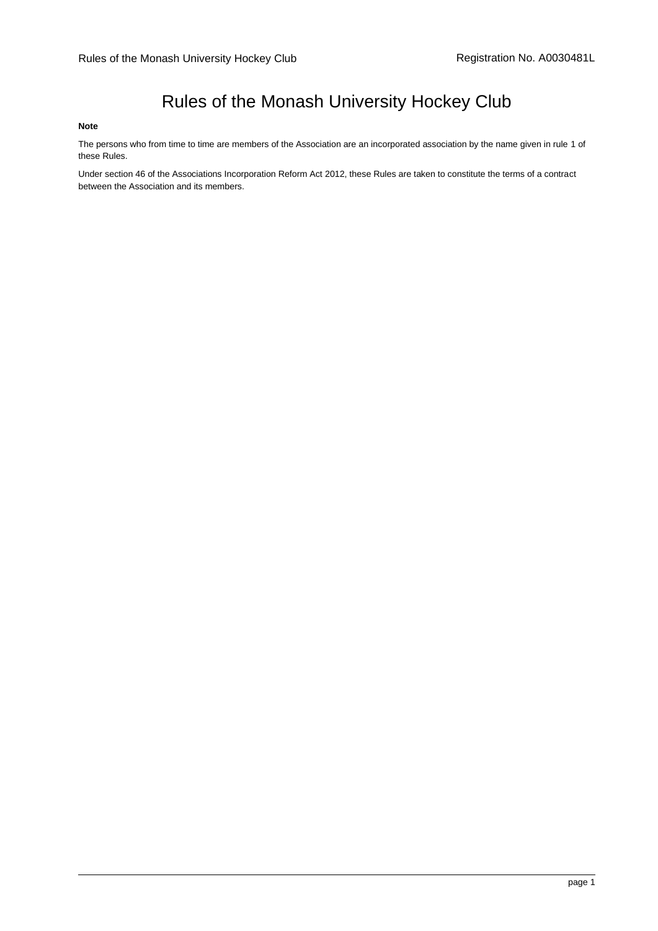# Rules of the Monash University Hockey Club

#### **Note**

The persons who from time to time are members of the Association are an incorporated association by the name given in rul[e 1](#page-4-1) of these Rules.

Under section 46 of the Associations Incorporation Reform Act 2012, these Rules are taken to constitute the terms of a contract between the Association and its members.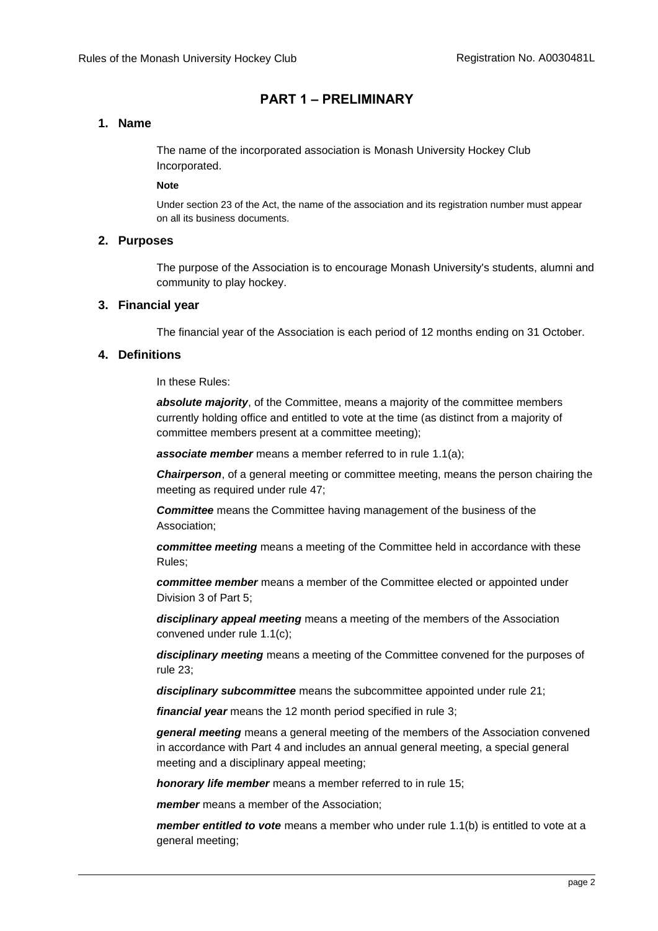# **PART 1 – PRELIMINARY**

# <span id="page-4-1"></span><span id="page-4-0"></span>**1. Name**

The name of the incorporated association is Monash University Hockey Club Incorporated.

#### **Note**

Under section 23 of the Act, the name of the association and its registration number must appear on all its business documents.

#### <span id="page-4-2"></span>**2. Purposes**

The purpose of the Association is to encourage Monash University's students, alumni and community to play hockey.

#### <span id="page-4-3"></span>**3. Financial year**

The financial year of the Association is each period of 12 months ending on 31 October.

## <span id="page-4-4"></span>**4. Definitions**

In these Rules:

*absolute majority*, of the Committee, means a majority of the committee members currently holding office and entitled to vote at the time (as distinct from a majority of committee members present at a committee meeting);

**associate member** means a member referred to in rule [1.1\(a\);](#page-8-3)

*Chairperson*, of a general meeting or committee meeting, means the person chairing the meeting as required under rule [47;](#page-20-0)

*Committee* means the Committee having management of the business of the Association;

*committee meeting* means a meeting of the Committee held in accordance with these Rules;

*committee member* means a member of the Committee elected or appointed under Division 3 of Part 5;

*disciplinary appeal meeting* means a meeting of the members of the Association convened under rule [1.1\(c\);](#page-11-2)

*disciplinary meeting* means a meeting of the Committee convened for the purposes of rule [23;](#page-10-4)

*disciplinary subcommittee* means the subcommittee appointed under rule [21;](#page-10-2)

*financial year* means the 12 month period specified in rule [3;](#page-4-3)

*general meeting* means a general meeting of the members of the Association convened in accordance with Part 4 and includes an annual general meeting, a special general meeting and a disciplinary appeal meeting;

*honorary life member* means a member referred to in rule [15;](#page-8-2)

*member* means a member of the Association;

*member entitled to vote* means a member who under rule [1.1\(b\)](#page-8-4) is entitled to vote at a general meeting;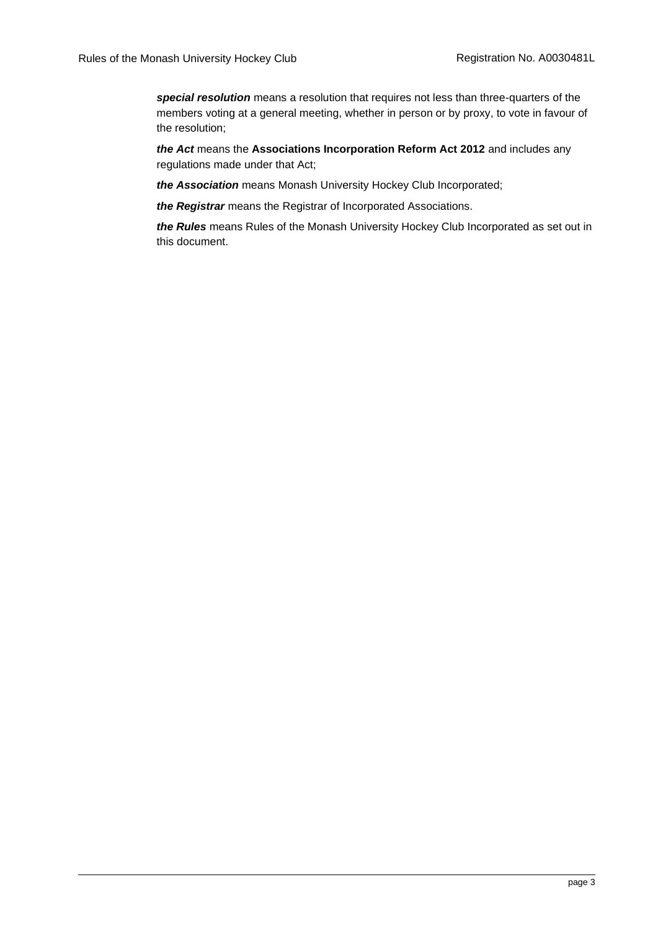*special resolution* means a resolution that requires not less than three-quarters of the members voting at a general meeting, whether in person or by proxy, to vote in favour of the resolution;

*the Act* means the **Associations Incorporation Reform Act 2012** and includes any regulations made under that Act;

*the Association* means Monash University Hockey Club Incorporated;

*the Registrar* means the Registrar of Incorporated Associations.

*the Rules* means Rules of the Monash University Hockey Club Incorporated as set out in this document.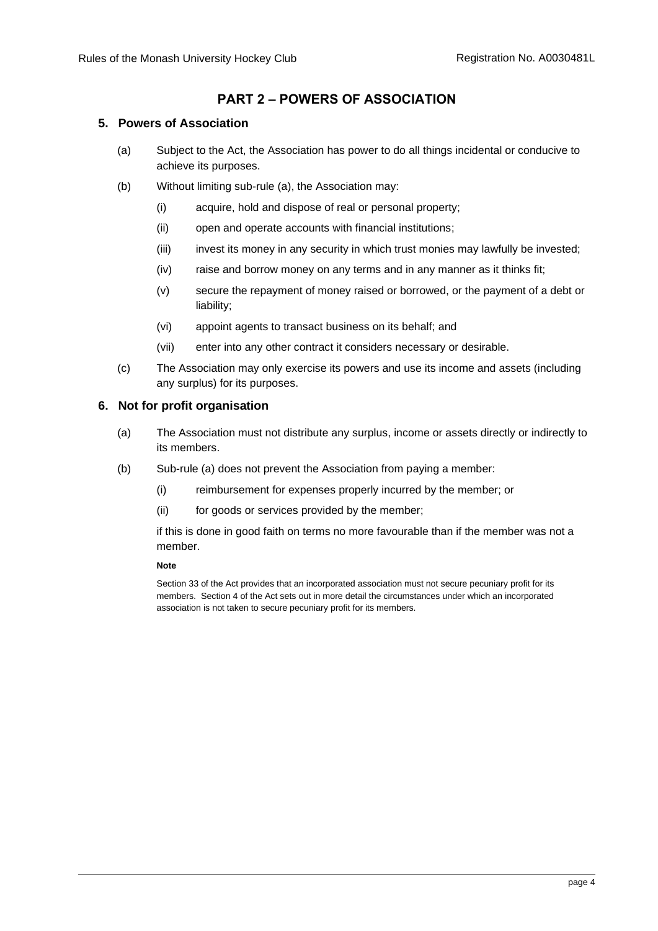# **PART 2 – POWERS OF ASSOCIATION**

# <span id="page-6-3"></span><span id="page-6-1"></span><span id="page-6-0"></span>**5. Powers of Association**

- (a) Subject to the Act, the Association has power to do all things incidental or conducive to achieve its purposes.
- (b) Without limiting sub-rule [\(a\),](#page-6-3) the Association may:
	- (i) acquire, hold and dispose of real or personal property;
	- (ii) open and operate accounts with financial institutions;
	- (iii) invest its money in any security in which trust monies may lawfully be invested;
	- (iv) raise and borrow money on any terms and in any manner as it thinks fit;
	- (v) secure the repayment of money raised or borrowed, or the payment of a debt or liability;
	- (vi) appoint agents to transact business on its behalf; and
	- (vii) enter into any other contract it considers necessary or desirable.
- (c) The Association may only exercise its powers and use its income and assets (including any surplus) for its purposes.

# <span id="page-6-4"></span><span id="page-6-2"></span>**6. Not for profit organisation**

- (a) The Association must not distribute any surplus, income or assets directly or indirectly to its members.
- (b) Sub-rule [\(a\)](#page-6-4) does not prevent the Association from paying a member:
	- (i) reimbursement for expenses properly incurred by the member; or
	- (ii) for goods or services provided by the member;

if this is done in good faith on terms no more favourable than if the member was not a member.

#### **Note**

Section 33 of the Act provides that an incorporated association must not secure pecuniary profit for its members. Section 4 of the Act sets out in more detail the circumstances under which an incorporated association is not taken to secure pecuniary profit for its members.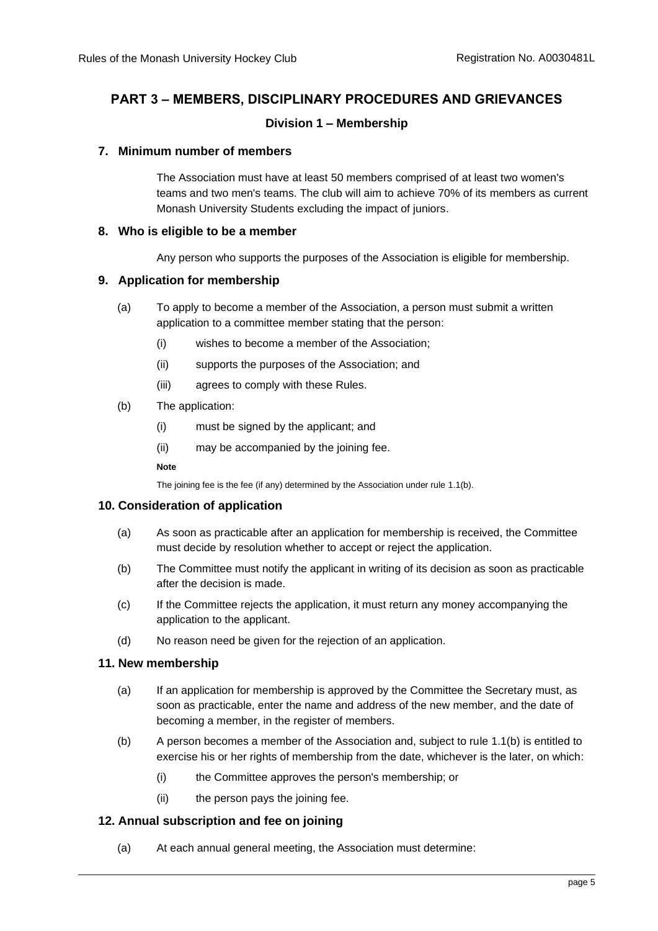# <span id="page-7-0"></span>**PART 3 – MEMBERS, DISCIPLINARY PROCEDURES AND GRIEVANCES**

# **Division 1 – Membership**

## <span id="page-7-2"></span><span id="page-7-1"></span>**7. Minimum number of members**

The Association must have at least 50 members comprised of at least two women's teams and two men's teams. The club will aim to achieve 70% of its members as current Monash University Students excluding the impact of juniors.

#### <span id="page-7-3"></span>**8. Who is eligible to be a member**

Any person who supports the purposes of the Association is eligible for membership.

## <span id="page-7-4"></span>**9. Application for membership**

- (a) To apply to become a member of the Association, a person must submit a written application to a committee member stating that the person:
	- (i) wishes to become a member of the Association;
	- (ii) supports the purposes of the Association; and
	- (iii) agrees to comply with these Rules.
- (b) The application:
	- (i) must be signed by the applicant; and
	- (ii) may be accompanied by the joining fee.

**Note**

The joining fee is the fee (if any) determined by the Association under rul[e 1.1\(b\).](#page-8-5)

## <span id="page-7-5"></span>**10. Consideration of application**

- (a) As soon as practicable after an application for membership is received, the Committee must decide by resolution whether to accept or reject the application.
- (b) The Committee must notify the applicant in writing of its decision as soon as practicable after the decision is made.
- (c) If the Committee rejects the application, it must return any money accompanying the application to the applicant.
- (d) No reason need be given for the rejection of an application.

## <span id="page-7-6"></span>**11. New membership**

- (a) If an application for membership is approved by the Committee the Secretary must, as soon as practicable, enter the name and address of the new member, and the date of becoming a member, in the register of members.
- (b) A person becomes a member of the Association and, subject to rule [1.1\(b\)](#page-8-4) is entitled to exercise his or her rights of membership from the date, whichever is the later, on which:
	- (i) the Committee approves the person's membership; or
	- (ii) the person pays the joining fee.

## <span id="page-7-7"></span>**12. Annual subscription and fee on joining**

(a) At each annual general meeting, the Association must determine: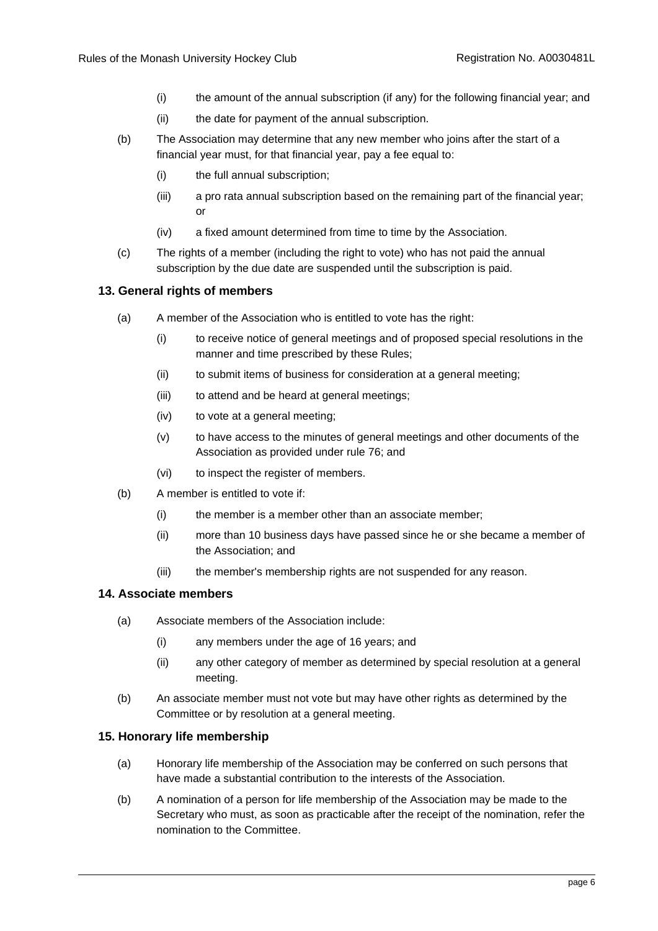- (i) the amount of the annual subscription (if any) for the following financial year; and
- (ii) the date for payment of the annual subscription.
- <span id="page-8-5"></span>(b) The Association may determine that any new member who joins after the start of a financial year must, for that financial year, pay a fee equal to:
	- (i) the full annual subscription;
	- (iii) a pro rata annual subscription based on the remaining part of the financial year; or
	- (iv) a fixed amount determined from time to time by the Association.
- (c) The rights of a member (including the right to vote) who has not paid the annual subscription by the due date are suspended until the subscription is paid.

# <span id="page-8-0"></span>**13. General rights of members**

- (a) A member of the Association who is entitled to vote has the right:
	- (i) to receive notice of general meetings and of proposed special resolutions in the manner and time prescribed by these Rules;
	- (ii) to submit items of business for consideration at a general meeting;
	- (iii) to attend and be heard at general meetings;
	- (iv) to vote at a general meeting;
	- (v) to have access to the minutes of general meetings and other documents of the Association as provided under rule [76;](#page-29-4) and
	- (vi) to inspect the register of members.
- <span id="page-8-4"></span>(b) A member is entitled to vote if:
	- (i) the member is a member other than an associate member;
	- (ii) more than 10 business days have passed since he or she became a member of the Association; and
	- (iii) the member's membership rights are not suspended for any reason.

## <span id="page-8-3"></span><span id="page-8-1"></span>**14. Associate members**

- (a) Associate members of the Association include:
	- (i) any members under the age of 16 years; and
	- (ii) any other category of member as determined by special resolution at a general meeting.
- (b) An associate member must not vote but may have other rights as determined by the Committee or by resolution at a general meeting.

## <span id="page-8-2"></span>**15. Honorary life membership**

- (a) Honorary life membership of the Association may be conferred on such persons that have made a substantial contribution to the interests of the Association.
- (b) A nomination of a person for life membership of the Association may be made to the Secretary who must, as soon as practicable after the receipt of the nomination, refer the nomination to the Committee.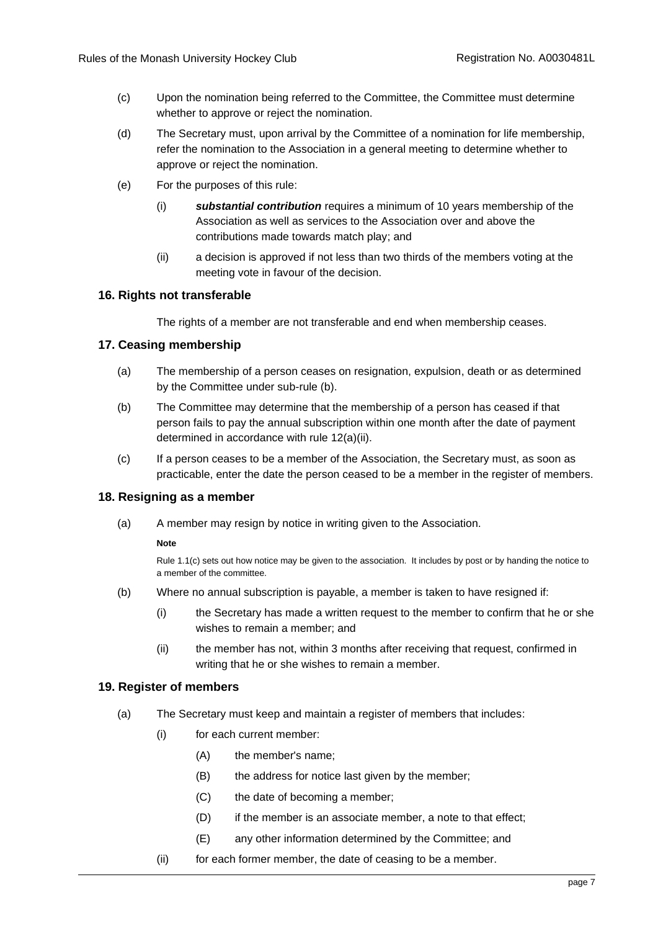- (c) Upon the nomination being referred to the Committee, the Committee must determine whether to approve or reject the nomination.
- (d) The Secretary must, upon arrival by the Committee of a nomination for life membership, refer the nomination to the Association in a general meeting to determine whether to approve or reject the nomination.
- (e) For the purposes of this rule:
	- (i) *substantial contribution* requires a minimum of 10 years membership of the Association as well as services to the Association over and above the contributions made towards match play; and
	- (ii) a decision is approved if not less than two thirds of the members voting at the meeting vote in favour of the decision.

## <span id="page-9-0"></span>**16. Rights not transferable**

The rights of a member are not transferable and end when membership ceases.

#### <span id="page-9-1"></span>**17. Ceasing membership**

- (a) The membership of a person ceases on resignation, expulsion, death or as determined by the Committee under sub-rule (b).
- (b) The Committee may determine that the membership of a person has ceased if that person fails to pay the annual subscription within one month after the date of payment determined in accordance with rule 12(a)(ii).
- (c) If a person ceases to be a member of the Association, the Secretary must, as soon as practicable, enter the date the person ceased to be a member in the register of members.

#### <span id="page-9-2"></span>**18. Resigning as a member**

(a) A member may resign by notice in writing given to the Association.

#### **Note**

Rul[e 1.1\(c\)](#page-29-5) sets out how notice may be given to the association. It includes by post or by handing the notice to a member of the committee.

- (b) Where no annual subscription is payable, a member is taken to have resigned if:
	- (i) the Secretary has made a written request to the member to confirm that he or she wishes to remain a member; and
	- (ii) the member has not, within 3 months after receiving that request, confirmed in writing that he or she wishes to remain a member.

#### <span id="page-9-3"></span>**19. Register of members**

- (a) The Secretary must keep and maintain a register of members that includes:
	- (i) for each current member:
		- (A) the member's name;
		- (B) the address for notice last given by the member;
		- (C) the date of becoming a member;
		- (D) if the member is an associate member, a note to that effect;
		- (E) any other information determined by the Committee; and
	- (ii) for each former member, the date of ceasing to be a member.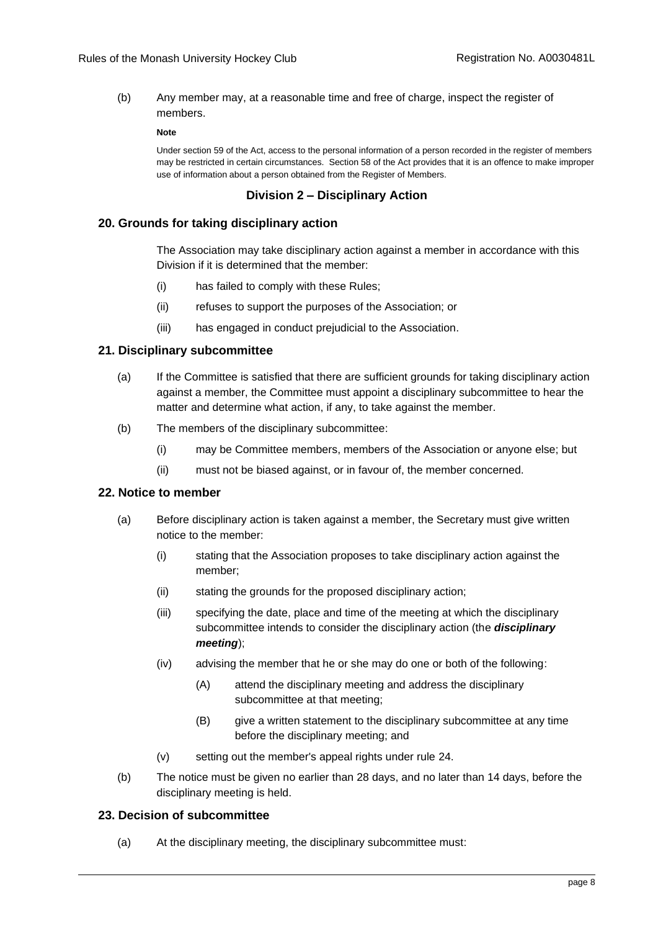(b) Any member may, at a reasonable time and free of charge, inspect the register of members.

#### **Note**

Under section 59 of the Act, access to the personal information of a person recorded in the register of members may be restricted in certain circumstances. Section 58 of the Act provides that it is an offence to make improper use of information about a person obtained from the Register of Members.

#### **Division 2 – Disciplinary Action**

#### <span id="page-10-1"></span><span id="page-10-0"></span>**20. Grounds for taking disciplinary action**

The Association may take disciplinary action against a member in accordance with this Division if it is determined that the member:

- (i) has failed to comply with these Rules;
- (ii) refuses to support the purposes of the Association; or
- (iii) has engaged in conduct prejudicial to the Association.

#### <span id="page-10-2"></span>**21. Disciplinary subcommittee**

- (a) If the Committee is satisfied that there are sufficient grounds for taking disciplinary action against a member, the Committee must appoint a disciplinary subcommittee to hear the matter and determine what action, if any, to take against the member.
- (b) The members of the disciplinary subcommittee:
	- (i) may be Committee members, members of the Association or anyone else; but
	- (ii) must not be biased against, or in favour of, the member concerned.

## <span id="page-10-3"></span>**22. Notice to member**

- (a) Before disciplinary action is taken against a member, the Secretary must give written notice to the member:
	- (i) stating that the Association proposes to take disciplinary action against the member;
	- (ii) stating the grounds for the proposed disciplinary action;
	- (iii) specifying the date, place and time of the meeting at which the disciplinary subcommittee intends to consider the disciplinary action (the *disciplinary meeting*);
	- (iv) advising the member that he or she may do one or both of the following:
		- (A) attend the disciplinary meeting and address the disciplinary subcommittee at that meeting;
		- (B) give a written statement to the disciplinary subcommittee at any time before the disciplinary meeting; and
	- (v) setting out the member's appeal rights under rule [24.](#page-11-0)
- (b) The notice must be given no earlier than 28 days, and no later than 14 days, before the disciplinary meeting is held.

#### <span id="page-10-5"></span><span id="page-10-4"></span>**23. Decision of subcommittee**

(a) At the disciplinary meeting, the disciplinary subcommittee must: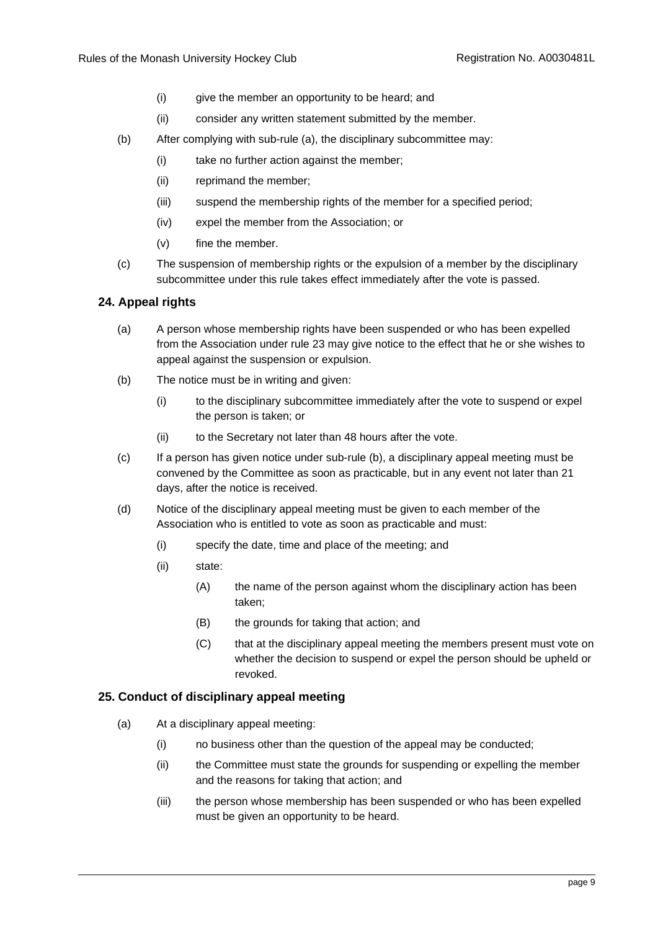- (i) give the member an opportunity to be heard; and
- (ii) consider any written statement submitted by the member.
- (b) After complying with sub-rule [\(a\),](#page-10-5) the disciplinary subcommittee may:
	- (i) take no further action against the member;
	- (ii) reprimand the member;
	- (iii) suspend the membership rights of the member for a specified period;
	- (iv) expel the member from the Association; or
	- (v) fine the member.
- (c) The suspension of membership rights or the expulsion of a member by the disciplinary subcommittee under this rule takes effect immediately after the vote is passed.

# <span id="page-11-0"></span>**24. Appeal rights**

- (a) A person whose membership rights have been suspended or who has been expelled from the Association under rule [23](#page-10-4) may give notice to the effect that he or she wishes to appeal against the suspension or expulsion.
- <span id="page-11-3"></span>(b) The notice must be in writing and given:
	- (i) to the disciplinary subcommittee immediately after the vote to suspend or expel the person is taken; or
	- (ii) to the Secretary not later than 48 hours after the vote.
- <span id="page-11-2"></span>(c) If a person has given notice under sub-rule [\(b\),](#page-11-3) a disciplinary appeal meeting must be convened by the Committee as soon as practicable, but in any event not later than 21 days, after the notice is received.
- <span id="page-11-5"></span>(d) Notice of the disciplinary appeal meeting must be given to each member of the Association who is entitled to vote as soon as practicable and must:
	- (i) specify the date, time and place of the meeting; and
	- (ii) state:
		- (A) the name of the person against whom the disciplinary action has been taken;
		- (B) the grounds for taking that action; and
		- (C) that at the disciplinary appeal meeting the members present must vote on whether the decision to suspend or expel the person should be upheld or revoked.

# <span id="page-11-4"></span><span id="page-11-1"></span>**25. Conduct of disciplinary appeal meeting**

- (a) At a disciplinary appeal meeting:
	- (i) no business other than the question of the appeal may be conducted;
	- (ii) the Committee must state the grounds for suspending or expelling the member and the reasons for taking that action; and
	- (iii) the person whose membership has been suspended or who has been expelled must be given an opportunity to be heard.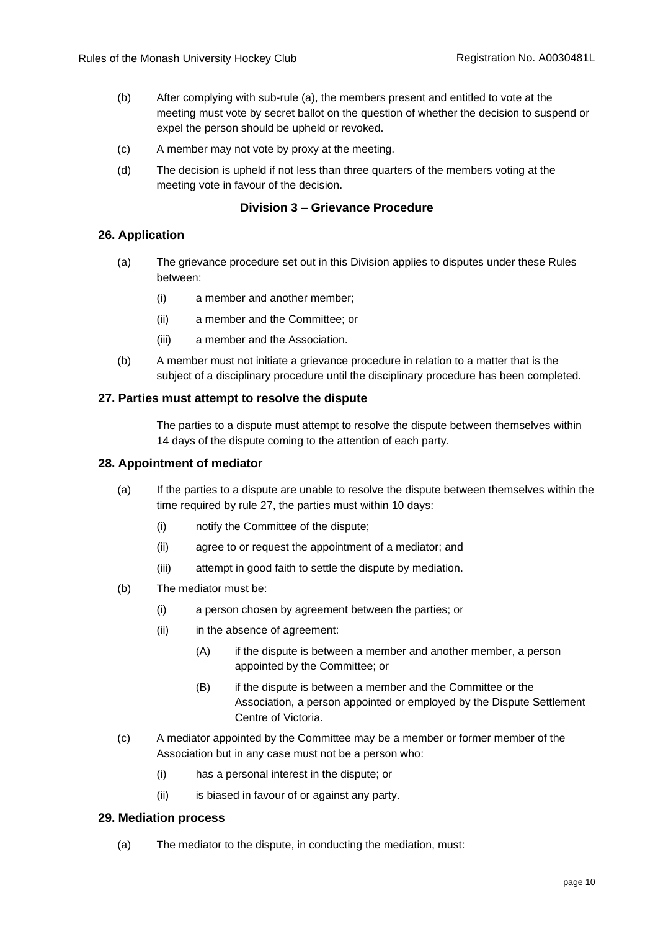- (b) After complying with sub-rule [\(a\),](#page-11-4) the members present and entitled to vote at the meeting must vote by secret ballot on the question of whether the decision to suspend or expel the person should be upheld or revoked.
- (c) A member may not vote by proxy at the meeting.
- (d) The decision is upheld if not less than three quarters of the members voting at the meeting vote in favour of the decision.

#### **Division 3 – Grievance Procedure**

## <span id="page-12-1"></span><span id="page-12-0"></span>**26. Application**

- (a) The grievance procedure set out in this Division applies to disputes under these Rules between:
	- (i) a member and another member;
	- (ii) a member and the Committee; or
	- (iii) a member and the Association.
- (b) A member must not initiate a grievance procedure in relation to a matter that is the subject of a disciplinary procedure until the disciplinary procedure has been completed.

#### <span id="page-12-2"></span>**27. Parties must attempt to resolve the dispute**

The parties to a dispute must attempt to resolve the dispute between themselves within 14 days of the dispute coming to the attention of each party.

#### <span id="page-12-3"></span>**28. Appointment of mediator**

- (a) If the parties to a dispute are unable to resolve the dispute between themselves within the time required by rule [27,](#page-12-2) the parties must within 10 days:
	- (i) notify the Committee of the dispute;
	- (ii) agree to or request the appointment of a mediator; and
	- (iii) attempt in good faith to settle the dispute by mediation.
- (b) The mediator must be:
	- (i) a person chosen by agreement between the parties; or
	- (ii) in the absence of agreement:
		- (A) if the dispute is between a member and another member, a person appointed by the Committee; or
		- (B) if the dispute is between a member and the Committee or the Association, a person appointed or employed by the Dispute Settlement Centre of Victoria.
- (c) A mediator appointed by the Committee may be a member or former member of the Association but in any case must not be a person who:
	- (i) has a personal interest in the dispute; or
	- (ii) is biased in favour of or against any party.

#### <span id="page-12-4"></span>**29. Mediation process**

(a) The mediator to the dispute, in conducting the mediation, must: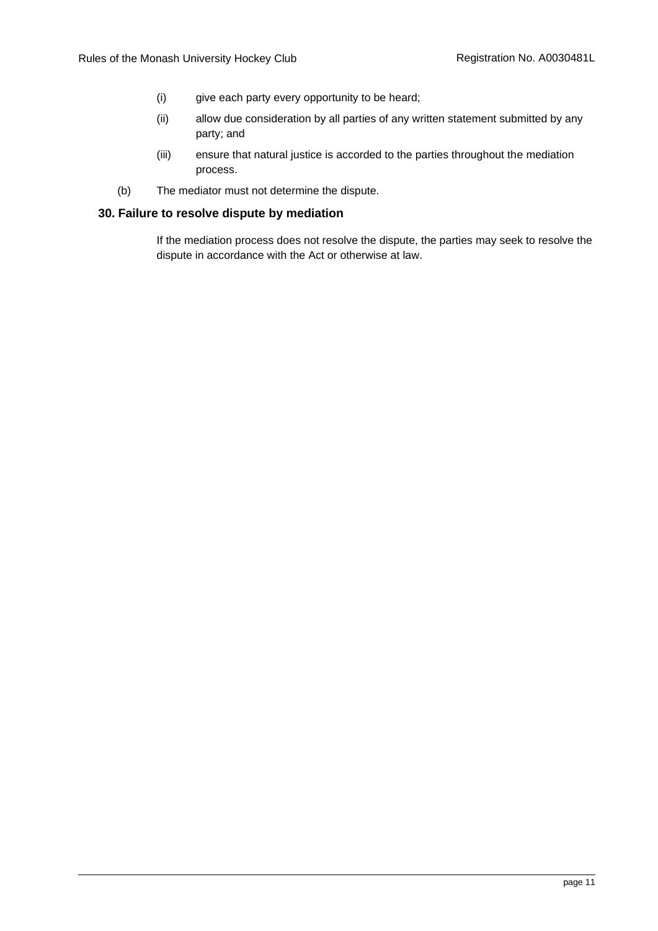- (i) give each party every opportunity to be heard;
- (ii) allow due consideration by all parties of any written statement submitted by any party; and
- (iii) ensure that natural justice is accorded to the parties throughout the mediation process.
- (b) The mediator must not determine the dispute.

## <span id="page-13-0"></span>**30. Failure to resolve dispute by mediation**

If the mediation process does not resolve the dispute, the parties may seek to resolve the dispute in accordance with the Act or otherwise at law.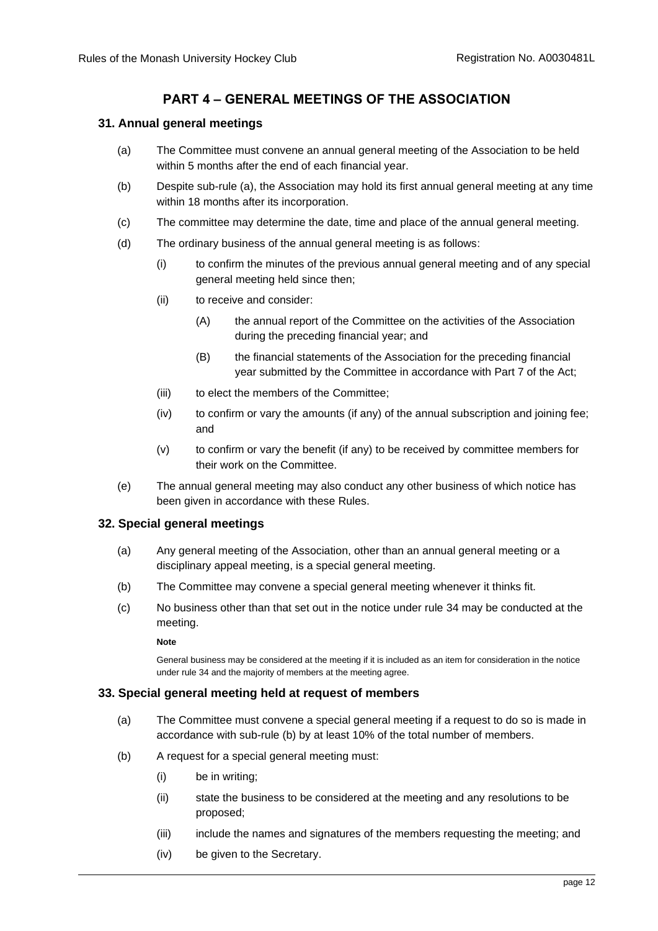# **PART 4 – GENERAL MEETINGS OF THE ASSOCIATION**

# <span id="page-14-4"></span><span id="page-14-1"></span><span id="page-14-0"></span>**31. Annual general meetings**

- (a) The Committee must convene an annual general meeting of the Association to be held within 5 months after the end of each financial year.
- (b) Despite sub-rule [\(a\),](#page-14-4) the Association may hold its first annual general meeting at any time within 18 months after its incorporation.
- (c) The committee may determine the date, time and place of the annual general meeting.
- <span id="page-14-6"></span>(d) The ordinary business of the annual general meeting is as follows:
	- (i) to confirm the minutes of the previous annual general meeting and of any special general meeting held since then;
	- (ii) to receive and consider:
		- (A) the annual report of the Committee on the activities of the Association during the preceding financial year; and
		- (B) the financial statements of the Association for the preceding financial year submitted by the Committee in accordance with Part 7 of the Act;
	- (iii) to elect the members of the Committee;
	- (iv) to confirm or vary the amounts (if any) of the annual subscription and joining fee; and
	- (v) to confirm or vary the benefit (if any) to be received by committee members for their work on the Committee.
- (e) The annual general meeting may also conduct any other business of which notice has been given in accordance with these Rules.

## <span id="page-14-2"></span>**32. Special general meetings**

- (a) Any general meeting of the Association, other than an annual general meeting or a disciplinary appeal meeting, is a special general meeting.
- (b) The Committee may convene a special general meeting whenever it thinks fit.
- (c) No business other than that set out in the notice under rule [34](#page-15-0) may be conducted at the meeting.

#### **Note**

General business may be considered at the meeting if it is included as an item for consideration in the notice under rule [34](#page-15-0) and the majority of members at the meeting agree.

## <span id="page-14-3"></span>**33. Special general meeting held at request of members**

- (a) The Committee must convene a special general meeting if a request to do so is made in accordance with sub-rule [\(b\)](#page-14-5) by at least 10% of the total number of members.
- <span id="page-14-5"></span>(b) A request for a special general meeting must:
	- (i) be in writing;
	- (ii) state the business to be considered at the meeting and any resolutions to be proposed;
	- (iii) include the names and signatures of the members requesting the meeting; and
	- (iv) be given to the Secretary.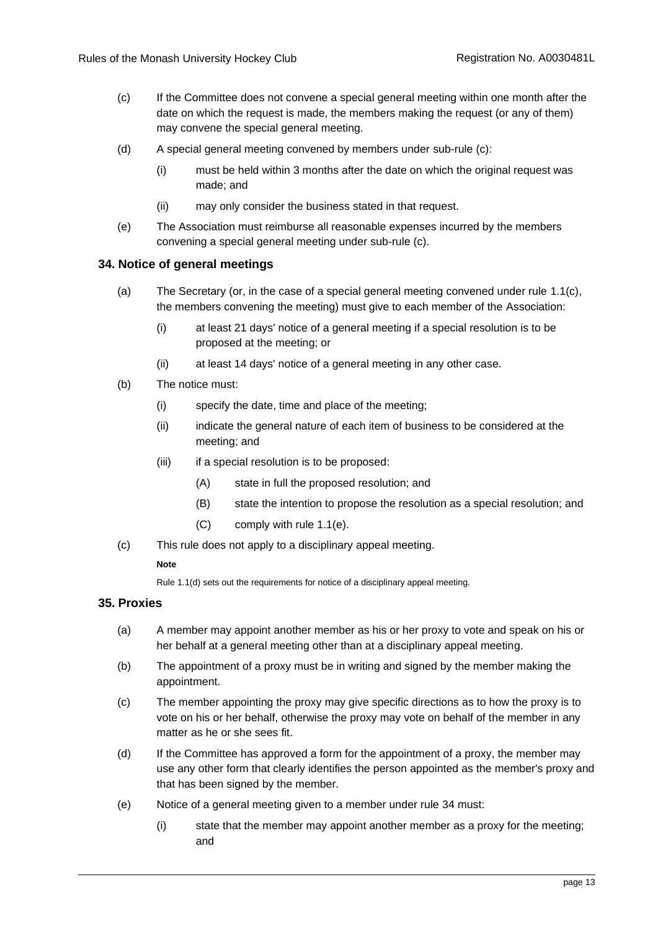- <span id="page-15-2"></span>(c) If the Committee does not convene a special general meeting within one month after the date on which the request is made, the members making the request (or any of them) may convene the special general meeting.
- (d) A special general meeting convened by members under sub-rule [\(c\):](#page-15-2)
	- (i) must be held within 3 months after the date on which the original request was made; and
	- (ii) may only consider the business stated in that request.
- (e) The Association must reimburse all reasonable expenses incurred by the members convening a special general meeting under sub-rule [\(c\).](#page-15-2)

#### <span id="page-15-0"></span>**34. Notice of general meetings**

- (a) The Secretary (or, in the case of a special general meeting convened under rule [1.1\(c\),](#page-15-2) the members convening the meeting) must give to each member of the Association:
	- (i) at least 21 days' notice of a general meeting if a special resolution is to be proposed at the meeting; or
	- (ii) at least 14 days' notice of a general meeting in any other case.
- (b) The notice must:
	- (i) specify the date, time and place of the meeting;
	- (ii) indicate the general nature of each item of business to be considered at the meeting; and
	- (iii) if a special resolution is to be proposed:
		- (A) state in full the proposed resolution; and
		- (B) state the intention to propose the resolution as a special resolution; and
		- (C) comply with rule [1.1\(e\).](#page-15-3)
- (c) This rule does not apply to a disciplinary appeal meeting.

#### **Note**

Rul[e 1.1\(d\)](#page-11-5) sets out the requirements for notice of a disciplinary appeal meeting.

## <span id="page-15-1"></span>**35. Proxies**

- (a) A member may appoint another member as his or her proxy to vote and speak on his or her behalf at a general meeting other than at a disciplinary appeal meeting.
- (b) The appointment of a proxy must be in writing and signed by the member making the appointment.
- (c) The member appointing the proxy may give specific directions as to how the proxy is to vote on his or her behalf, otherwise the proxy may vote on behalf of the member in any matter as he or she sees fit.
- (d) If the Committee has approved a form for the appointment of a proxy, the member may use any other form that clearly identifies the person appointed as the member's proxy and that has been signed by the member.
- <span id="page-15-3"></span>(e) Notice of a general meeting given to a member under rule [34](#page-15-0) must:
	- (i) state that the member may appoint another member as a proxy for the meeting; and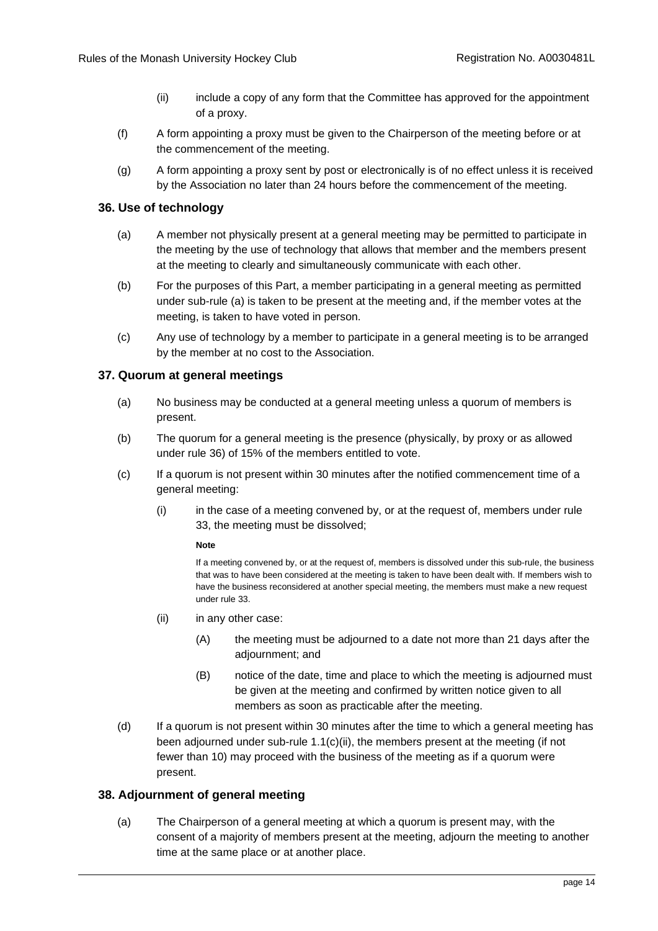- (ii) include a copy of any form that the Committee has approved for the appointment of a proxy.
- <span id="page-16-6"></span>(f) A form appointing a proxy must be given to the Chairperson of the meeting before or at the commencement of the meeting.
- (g) A form appointing a proxy sent by post or electronically is of no effect unless it is received by the Association no later than 24 hours before the commencement of the meeting.

# <span id="page-16-3"></span><span id="page-16-0"></span>**36. Use of technology**

- (a) A member not physically present at a general meeting may be permitted to participate in the meeting by the use of technology that allows that member and the members present at the meeting to clearly and simultaneously communicate with each other.
- (b) For the purposes of this Part, a member participating in a general meeting as permitted under sub-rule [\(a\)](#page-16-3) is taken to be present at the meeting and, if the member votes at the meeting, is taken to have voted in person.
- (c) Any use of technology by a member to participate in a general meeting is to be arranged by the member at no cost to the Association.

## <span id="page-16-1"></span>**37. Quorum at general meetings**

- (a) No business may be conducted at a general meeting unless a quorum of members is present.
- (b) The quorum for a general meeting is the presence (physically, by proxy or as allowed under rule [36\)](#page-16-0) of 15% of the members entitled to vote.
- (c) If a quorum is not present within 30 minutes after the notified commencement time of a general meeting:
	- (i) in the case of a meeting convened by, or at the request of, members under rule [33,](#page-14-3) the meeting must be dissolved;

#### **Note**

If a meeting convened by, or at the request of, members is dissolved under this sub-rule, the business that was to have been considered at the meeting is taken to have been dealt with. If members wish to have the business reconsidered at another special meeting, the members must make a new request under rul[e 33.](#page-14-3)

- <span id="page-16-4"></span>(ii) in any other case:
	- (A) the meeting must be adjourned to a date not more than 21 days after the adjournment; and
	- (B) notice of the date, time and place to which the meeting is adjourned must be given at the meeting and confirmed by written notice given to all members as soon as practicable after the meeting.
- (d) If a quorum is not present within 30 minutes after the time to which a general meeting has been adjourned under sub-rule [1.1\(c\)\(ii\),](#page-16-4) the members present at the meeting (if not fewer than 10) may proceed with the business of the meeting as if a quorum were present.

## <span id="page-16-5"></span><span id="page-16-2"></span>**38. Adjournment of general meeting**

(a) The Chairperson of a general meeting at which a quorum is present may, with the consent of a majority of members present at the meeting, adjourn the meeting to another time at the same place or at another place.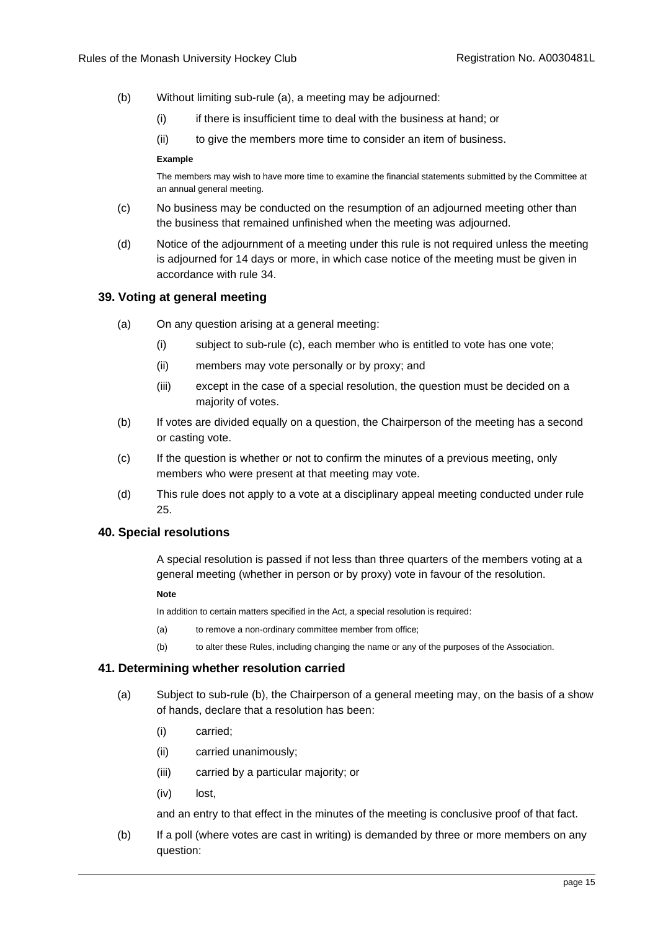- (b) Without limiting sub-rule [\(a\),](#page-16-5) a meeting may be adjourned:
	- (i) if there is insufficient time to deal with the business at hand; or
	- (ii) to give the members more time to consider an item of business.

#### **Example**

The members may wish to have more time to examine the financial statements submitted by the Committee at an annual general meeting.

- (c) No business may be conducted on the resumption of an adjourned meeting other than the business that remained unfinished when the meeting was adjourned.
- (d) Notice of the adjournment of a meeting under this rule is not required unless the meeting is adjourned for 14 days or more, in which case notice of the meeting must be given in accordance with rule [34.](#page-15-0)

## <span id="page-17-0"></span>**39. Voting at general meeting**

- (a) On any question arising at a general meeting:
	- (i) subject to sub-rule [\(c\),](#page-17-3) each member who is entitled to vote has one vote;
	- (ii) members may vote personally or by proxy; and
	- (iii) except in the case of a special resolution, the question must be decided on a majority of votes.
- (b) If votes are divided equally on a question, the Chairperson of the meeting has a second or casting vote.
- <span id="page-17-3"></span>(c) If the question is whether or not to confirm the minutes of a previous meeting, only members who were present at that meeting may vote.
- (d) This rule does not apply to a vote at a disciplinary appeal meeting conducted under rule [25.](#page-11-1)

## <span id="page-17-1"></span>**40. Special resolutions**

A special resolution is passed if not less than three quarters of the members voting at a general meeting (whether in person or by proxy) vote in favour of the resolution.

#### **Note**

In addition to certain matters specified in the Act, a special resolution is required:

- (a) to remove a non-ordinary committee member from office;
- (b) to alter these Rules, including changing the name or any of the purposes of the Association.

## <span id="page-17-2"></span>**41. Determining whether resolution carried**

- (a) Subject to sub-rule [\(b\),](#page-17-4) the Chairperson of a general meeting may, on the basis of a show of hands, declare that a resolution has been:
	- (i) carried;
	- (ii) carried unanimously;
	- (iii) carried by a particular majority; or
	- (iv) lost,

and an entry to that effect in the minutes of the meeting is conclusive proof of that fact.

<span id="page-17-4"></span>(b) If a poll (where votes are cast in writing) is demanded by three or more members on any question: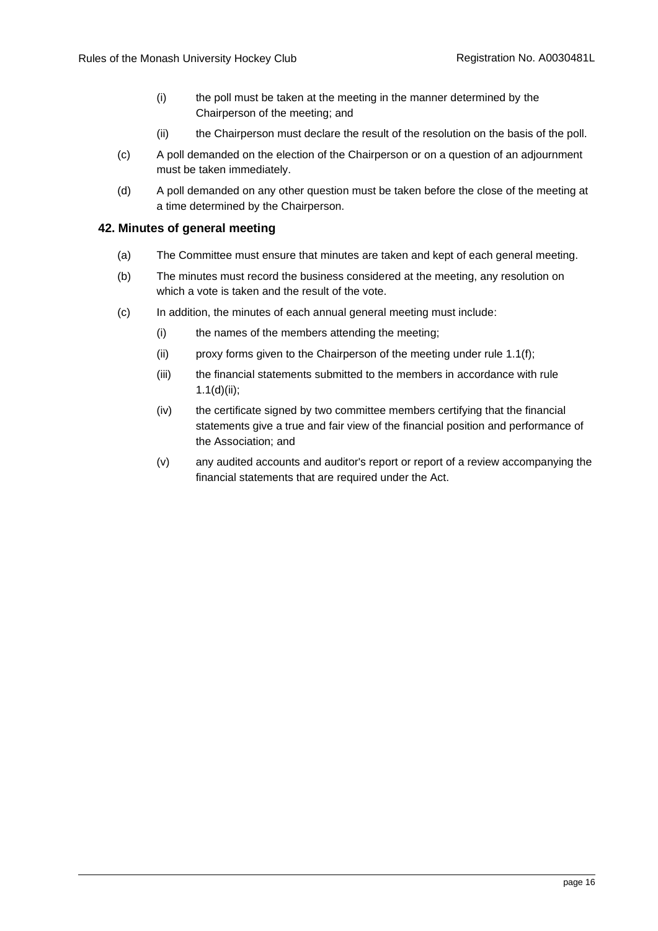- (i) the poll must be taken at the meeting in the manner determined by the Chairperson of the meeting; and
- (ii) the Chairperson must declare the result of the resolution on the basis of the poll.
- (c) A poll demanded on the election of the Chairperson or on a question of an adjournment must be taken immediately.
- (d) A poll demanded on any other question must be taken before the close of the meeting at a time determined by the Chairperson.

#### <span id="page-18-0"></span>**42. Minutes of general meeting**

- (a) The Committee must ensure that minutes are taken and kept of each general meeting.
- (b) The minutes must record the business considered at the meeting, any resolution on which a vote is taken and the result of the vote.
- (c) In addition, the minutes of each annual general meeting must include:
	- (i) the names of the members attending the meeting;
	- (ii) proxy forms given to the Chairperson of the meeting under rule [1.1\(f\);](#page-16-6)
	- (iii) the financial statements submitted to the members in accordance with rule [1.1\(d\)\(ii\);](#page-14-6)
	- (iv) the certificate signed by two committee members certifying that the financial statements give a true and fair view of the financial position and performance of the Association; and
	- (v) any audited accounts and auditor's report or report of a review accompanying the financial statements that are required under the Act.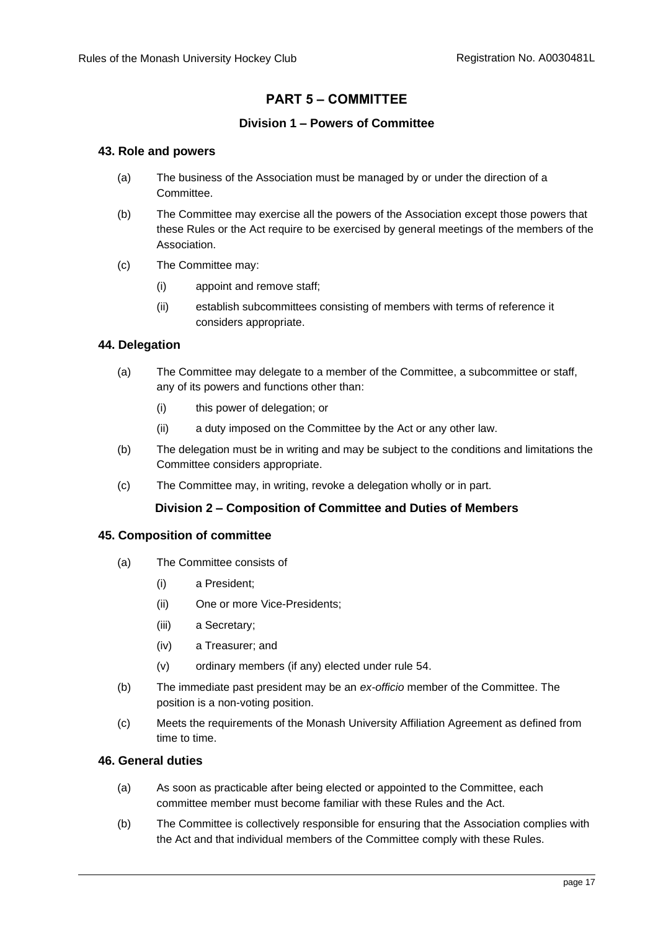# **PART 5 – COMMITTEE**

# **Division 1 – Powers of Committee**

## <span id="page-19-2"></span><span id="page-19-1"></span><span id="page-19-0"></span>**43. Role and powers**

- (a) The business of the Association must be managed by or under the direction of a Committee.
- (b) The Committee may exercise all the powers of the Association except those powers that these Rules or the Act require to be exercised by general meetings of the members of the Association.
- (c) The Committee may:
	- (i) appoint and remove staff;
	- (ii) establish subcommittees consisting of members with terms of reference it considers appropriate.

# <span id="page-19-3"></span>**44. Delegation**

- (a) The Committee may delegate to a member of the Committee, a subcommittee or staff, any of its powers and functions other than:
	- (i) this power of delegation; or
	- (ii) a duty imposed on the Committee by the Act or any other law.
- (b) The delegation must be in writing and may be subject to the conditions and limitations the Committee considers appropriate.
- (c) The Committee may, in writing, revoke a delegation wholly or in part.

## **Division 2 – Composition of Committee and Duties of Members**

## <span id="page-19-5"></span><span id="page-19-4"></span>**45. Composition of committee**

- (a) The Committee consists of
	- (i) a President;
	- (ii) One or more Vice-Presidents;
	- (iii) a Secretary;
	- (iv) a Treasurer; and
	- (v) ordinary members (if any) elected under rule [54.](#page-22-0)
- (b) The immediate past president may be an *ex-officio* member of the Committee. The position is a non-voting position.
- (c) Meets the requirements of the Monash University Affiliation Agreement as defined from time to time.

## <span id="page-19-6"></span>**46. General duties**

- (a) As soon as practicable after being elected or appointed to the Committee, each committee member must become familiar with these Rules and the Act.
- (b) The Committee is collectively responsible for ensuring that the Association complies with the Act and that individual members of the Committee comply with these Rules.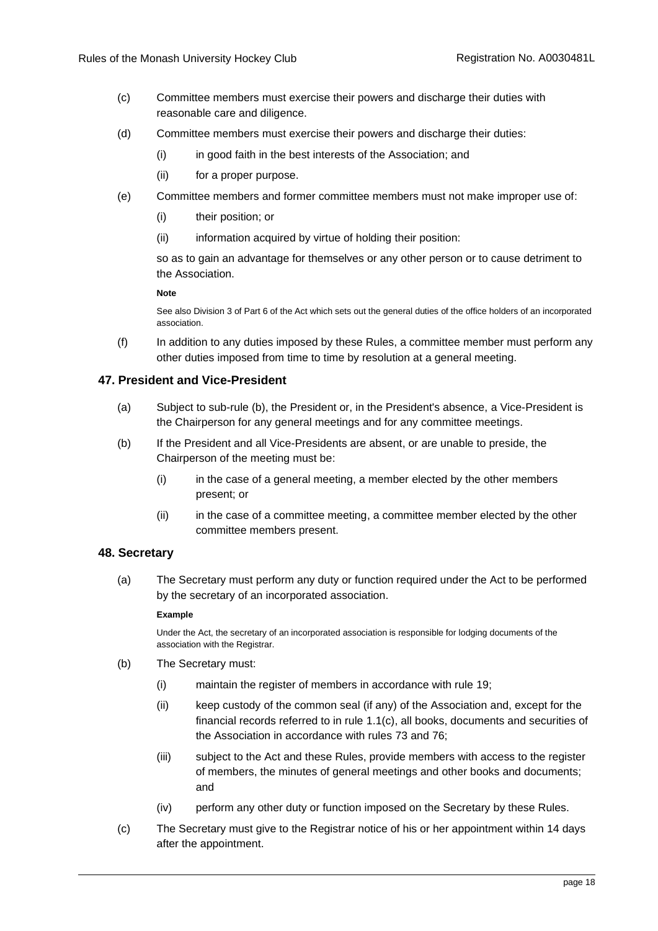- (c) Committee members must exercise their powers and discharge their duties with reasonable care and diligence.
- (d) Committee members must exercise their powers and discharge their duties:
	- (i) in good faith in the best interests of the Association; and
	- (ii) for a proper purpose.
- (e) Committee members and former committee members must not make improper use of:
	- (i) their position; or
	- (ii) information acquired by virtue of holding their position:

so as to gain an advantage for themselves or any other person or to cause detriment to the Association.

#### **Note**

See also Division 3 of Part 6 of the Act which sets out the general duties of the office holders of an incorporated association.

(f) In addition to any duties imposed by these Rules, a committee member must perform any other duties imposed from time to time by resolution at a general meeting.

#### <span id="page-20-0"></span>**47. President and Vice-President**

- (a) Subject to sub-rule [\(b\),](#page-20-2) the President or, in the President's absence, a Vice-President is the Chairperson for any general meetings and for any committee meetings.
- <span id="page-20-2"></span>(b) If the President and all Vice-Presidents are absent, or are unable to preside, the Chairperson of the meeting must be:
	- (i) in the case of a general meeting, a member elected by the other members present; or
	- (ii) in the case of a committee meeting, a committee member elected by the other committee members present.

#### <span id="page-20-1"></span>**48. Secretary**

(a) The Secretary must perform any duty or function required under the Act to be performed by the secretary of an incorporated association.

#### **Example**

Under the Act, the secretary of an incorporated association is responsible for lodging documents of the association with the Registrar.

- (b) The Secretary must:
	- (i) maintain the register of members in accordance with rule [19;](#page-9-3)
	- (ii) keep custody of the common seal (if any) of the Association and, except for the financial records referred to in rule [1.1\(c\),](#page-27-5) all books, documents and securities of the Association in accordance with rules [73](#page-29-1) and [76;](#page-29-4)
	- (iii) subject to the Act and these Rules, provide members with access to the register of members, the minutes of general meetings and other books and documents; and
	- (iv) perform any other duty or function imposed on the Secretary by these Rules.
- (c) The Secretary must give to the Registrar notice of his or her appointment within 14 days after the appointment.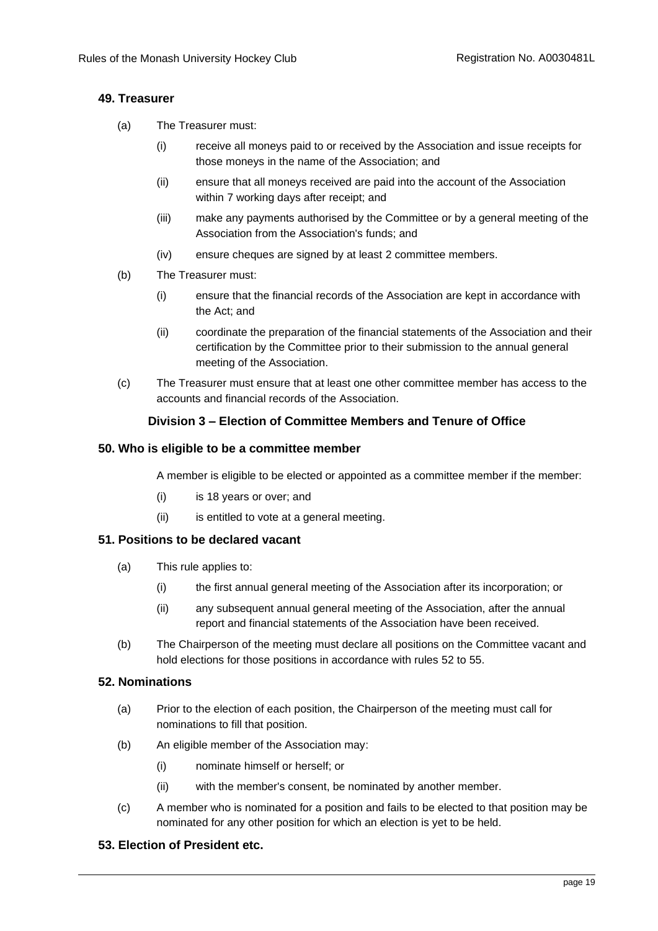# <span id="page-21-0"></span>**49. Treasurer**

- (a) The Treasurer must:
	- (i) receive all moneys paid to or received by the Association and issue receipts for those moneys in the name of the Association; and
	- (ii) ensure that all moneys received are paid into the account of the Association within 7 working days after receipt; and
	- (iii) make any payments authorised by the Committee or by a general meeting of the Association from the Association's funds; and
	- (iv) ensure cheques are signed by at least 2 committee members.
- (b) The Treasurer must:
	- (i) ensure that the financial records of the Association are kept in accordance with the Act; and
	- (ii) coordinate the preparation of the financial statements of the Association and their certification by the Committee prior to their submission to the annual general meeting of the Association.
- (c) The Treasurer must ensure that at least one other committee member has access to the accounts and financial records of the Association.

# **Division 3 – Election of Committee Members and Tenure of Office**

## <span id="page-21-2"></span><span id="page-21-1"></span>**50. Who is eligible to be a committee member**

A member is eligible to be elected or appointed as a committee member if the member:

- (i) is 18 years or over; and
- (ii) is entitled to vote at a general meeting.

## <span id="page-21-3"></span>**51. Positions to be declared vacant**

- (a) This rule applies to:
	- (i) the first annual general meeting of the Association after its incorporation; or
	- (ii) any subsequent annual general meeting of the Association, after the annual report and financial statements of the Association have been received.
- (b) The Chairperson of the meeting must declare all positions on the Committee vacant and hold elections for those positions in accordance with rules [52](#page-21-4) t[o 55.](#page-22-1)

# <span id="page-21-4"></span>**52. Nominations**

- (a) Prior to the election of each position, the Chairperson of the meeting must call for nominations to fill that position.
- (b) An eligible member of the Association may:
	- (i) nominate himself or herself; or
	- (ii) with the member's consent, be nominated by another member.
- (c) A member who is nominated for a position and fails to be elected to that position may be nominated for any other position for which an election is yet to be held.

# <span id="page-21-5"></span>**53. Election of President etc.**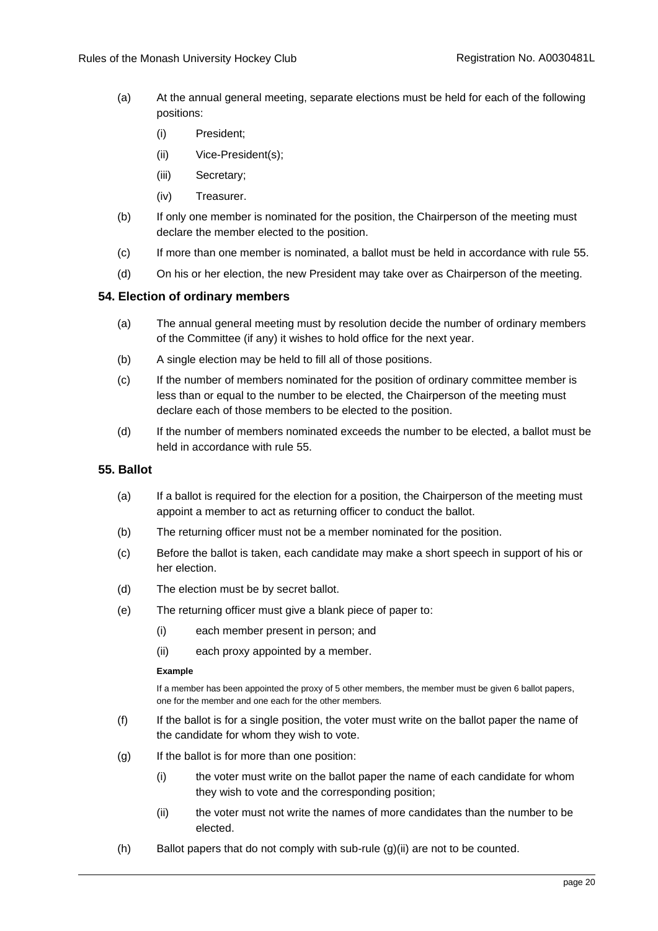- (a) At the annual general meeting, separate elections must be held for each of the following positions:
	- (i) President;
	- (ii) Vice-President(s);
	- (iii) Secretary;
	- (iv) Treasurer.
- (b) If only one member is nominated for the position, the Chairperson of the meeting must declare the member elected to the position.
- (c) If more than one member is nominated, a ballot must be held in accordance with rule [55.](#page-22-1)
- (d) On his or her election, the new President may take over as Chairperson of the meeting.

## <span id="page-22-0"></span>**54. Election of ordinary members**

- (a) The annual general meeting must by resolution decide the number of ordinary members of the Committee (if any) it wishes to hold office for the next year.
- (b) A single election may be held to fill all of those positions.
- (c) If the number of members nominated for the position of ordinary committee member is less than or equal to the number to be elected, the Chairperson of the meeting must declare each of those members to be elected to the position.
- (d) If the number of members nominated exceeds the number to be elected, a ballot must be held in accordance with rule [55.](#page-22-1)

## <span id="page-22-1"></span>**55. Ballot**

- (a) If a ballot is required for the election for a position, the Chairperson of the meeting must appoint a member to act as returning officer to conduct the ballot.
- (b) The returning officer must not be a member nominated for the position.
- (c) Before the ballot is taken, each candidate may make a short speech in support of his or her election.
- <span id="page-22-4"></span>(d) The election must be by secret ballot.
- (e) The returning officer must give a blank piece of paper to:
	- (i) each member present in person; and
	- (ii) each proxy appointed by a member.

#### **Example**

If a member has been appointed the proxy of 5 other members, the member must be given 6 ballot papers, one for the member and one each for the other members.

- (f) If the ballot is for a single position, the voter must write on the ballot paper the name of the candidate for whom they wish to vote.
- <span id="page-22-2"></span> $(g)$  If the ballot is for more than one position:
	- (i) the voter must write on the ballot paper the name of each candidate for whom they wish to vote and the corresponding position;
	- (ii) the voter must not write the names of more candidates than the number to be elected.
- <span id="page-22-3"></span> $(h)$  Ballot papers that do not comply with sub-rule  $(g)(ii)$  $(g)(ii)$  are not to be counted.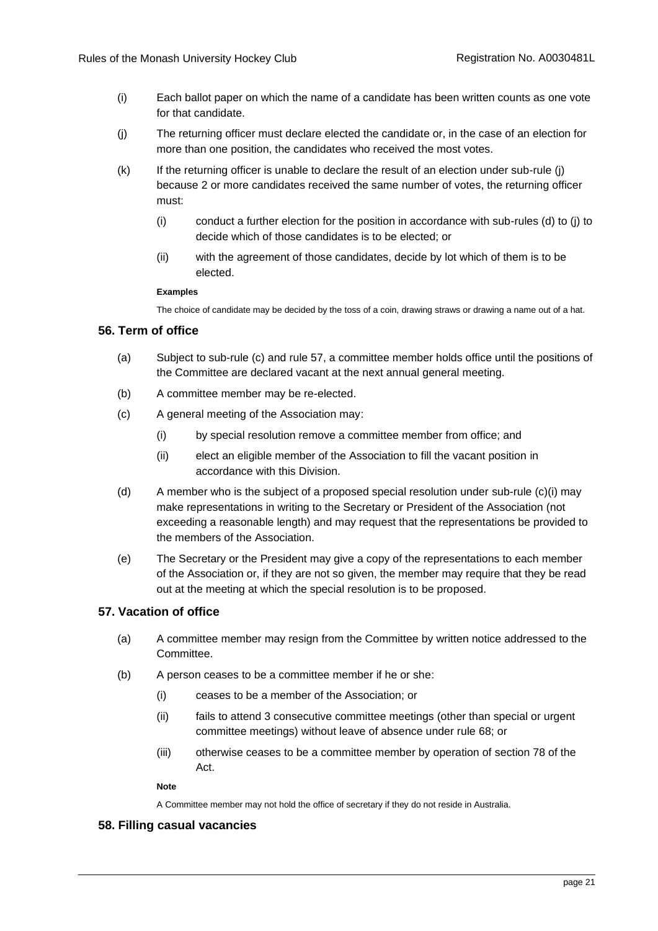- (i) Each ballot paper on which the name of a candidate has been written counts as one vote for that candidate.
- <span id="page-23-3"></span>(j) The returning officer must declare elected the candidate or, in the case of an election for more than one position, the candidates who received the most votes.
- (k) If the returning officer is unable to declare the result of an election under sub-rule [\(j\)](#page-23-3) because 2 or more candidates received the same number of votes, the returning officer must:
	- (i) conduct a further election for the position in accordance with sub-rules [\(d\)](#page-22-4) to [\(j\)](#page-23-3) to decide which of those candidates is to be elected; or
	- (ii) with the agreement of those candidates, decide by lot which of them is to be elected.

#### **Examples**

The choice of candidate may be decided by the toss of a coin, drawing straws or drawing a name out of a hat.

# <span id="page-23-0"></span>**56. Term of office**

- (a) Subject to sub-rule [\(c\)](#page-23-4) and rule [57,](#page-23-1) a committee member holds office until the positions of the Committee are declared vacant at the next annual general meeting.
- (b) A committee member may be re-elected.
- <span id="page-23-5"></span><span id="page-23-4"></span>(c) A general meeting of the Association may:
	- (i) by special resolution remove a committee member from office; and
	- (ii) elect an eligible member of the Association to fill the vacant position in accordance with this Division.
- (d) A member who is the subject of a proposed special resolution under sub-rule [\(c\)](#page-23-4)[\(i\)](#page-23-5) may make representations in writing to the Secretary or President of the Association (not exceeding a reasonable length) and may request that the representations be provided to the members of the Association.
- (e) The Secretary or the President may give a copy of the representations to each member of the Association or, if they are not so given, the member may require that they be read out at the meeting at which the special resolution is to be proposed.

## <span id="page-23-1"></span>**57. Vacation of office**

- (a) A committee member may resign from the Committee by written notice addressed to the Committee.
- (b) A person ceases to be a committee member if he or she:
	- (i) ceases to be a member of the Association; or
	- (ii) fails to attend 3 consecutive committee meetings (other than special or urgent committee meetings) without leave of absence under rule [68;](#page-26-1) or
	- (iii) otherwise ceases to be a committee member by operation of section 78 of the Act.

#### **Note**

A Committee member may not hold the office of secretary if they do not reside in Australia.

## <span id="page-23-2"></span>**58. Filling casual vacancies**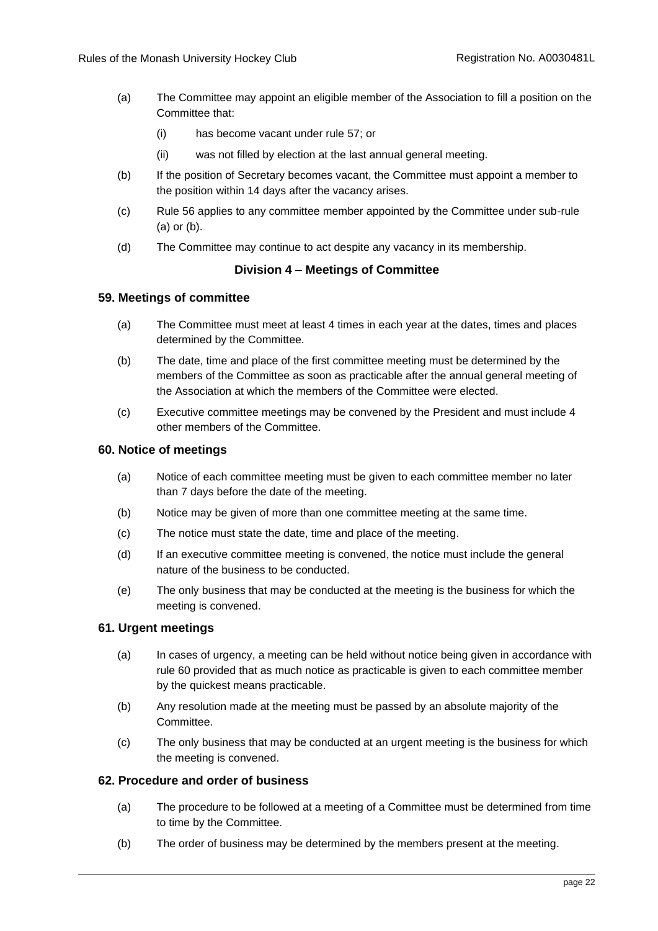- (a) The Committee may appoint an eligible member of the Association to fill a position on the Committee that:
	- (i) has become vacant under rule [57;](#page-23-1) or
	- (ii) was not filled by election at the last annual general meeting.
- (b) If the position of Secretary becomes vacant, the Committee must appoint a member to the position within 14 days after the vacancy arises.
- (c) Rule [56](#page-23-0) applies to any committee member appointed by the Committee under sub-rule (a) or (b).
- (d) The Committee may continue to act despite any vacancy in its membership.

# **Division 4 – Meetings of Committee**

## <span id="page-24-1"></span><span id="page-24-0"></span>**59. Meetings of committee**

- (a) The Committee must meet at least 4 times in each year at the dates, times and places determined by the Committee.
- (b) The date, time and place of the first committee meeting must be determined by the members of the Committee as soon as practicable after the annual general meeting of the Association at which the members of the Committee were elected.
- (c) Executive committee meetings may be convened by the President and must include 4 other members of the Committee.

## <span id="page-24-2"></span>**60. Notice of meetings**

- (a) Notice of each committee meeting must be given to each committee member no later than 7 days before the date of the meeting.
- (b) Notice may be given of more than one committee meeting at the same time.
- (c) The notice must state the date, time and place of the meeting.
- (d) If an executive committee meeting is convened, the notice must include the general nature of the business to be conducted.
- (e) The only business that may be conducted at the meeting is the business for which the meeting is convened.

## <span id="page-24-3"></span>**61. Urgent meetings**

- (a) In cases of urgency, a meeting can be held without notice being given in accordance with rule [60](#page-24-2) provided that as much notice as practicable is given to each committee member by the quickest means practicable.
- (b) Any resolution made at the meeting must be passed by an absolute majority of the Committee.
- (c) The only business that may be conducted at an urgent meeting is the business for which the meeting is convened.

# <span id="page-24-4"></span>**62. Procedure and order of business**

- (a) The procedure to be followed at a meeting of a Committee must be determined from time to time by the Committee.
- (b) The order of business may be determined by the members present at the meeting.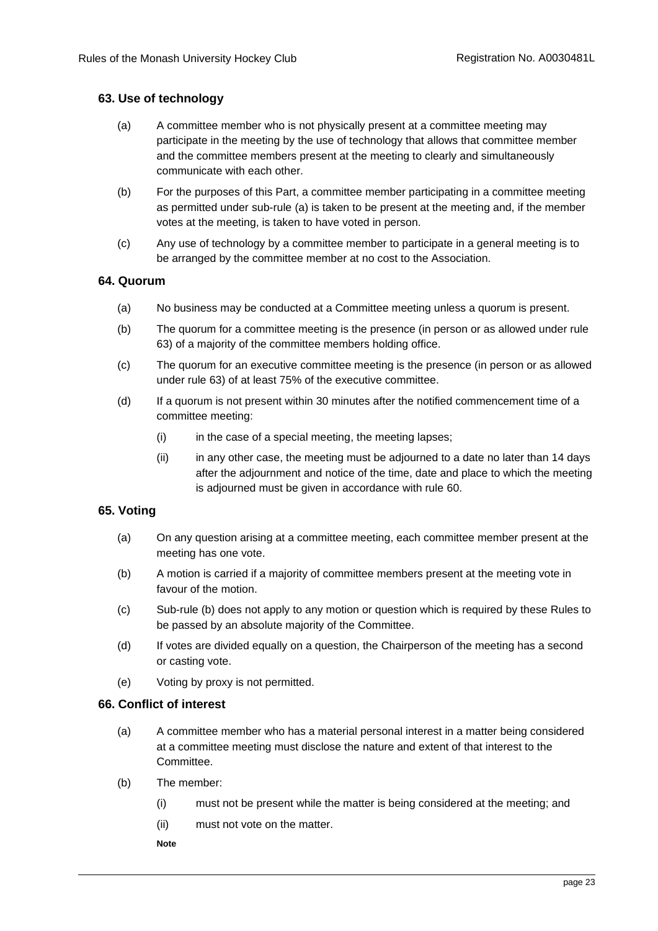# <span id="page-25-0"></span>**63. Use of technology**

- (a) A committee member who is not physically present at a committee meeting may participate in the meeting by the use of technology that allows that committee member and the committee members present at the meeting to clearly and simultaneously communicate with each other.
- (b) For the purposes of this Part, a committee member participating in a committee meeting as permitted under sub-rule (a) is taken to be present at the meeting and, if the member votes at the meeting, is taken to have voted in person.
- (c) Any use of technology by a committee member to participate in a general meeting is to be arranged by the committee member at no cost to the Association.

## <span id="page-25-1"></span>**64. Quorum**

- (a) No business may be conducted at a Committee meeting unless a quorum is present.
- (b) The quorum for a committee meeting is the presence (in person or as allowed under rule [63\)](#page-25-0) of a majority of the committee members holding office.
- (c) The quorum for an executive committee meeting is the presence (in person or as allowed under rule [63\)](#page-25-0) of at least 75% of the executive committee.
- (d) If a quorum is not present within 30 minutes after the notified commencement time of a committee meeting:
	- (i) in the case of a special meeting, the meeting lapses;
	- (ii) in any other case, the meeting must be adjourned to a date no later than 14 days after the adjournment and notice of the time, date and place to which the meeting is adjourned must be given in accordance with rule [60.](#page-24-2)

## <span id="page-25-2"></span>**65. Voting**

- (a) On any question arising at a committee meeting, each committee member present at the meeting has one vote.
- (b) A motion is carried if a majority of committee members present at the meeting vote in favour of the motion.
- (c) Sub-rule (b) does not apply to any motion or question which is required by these Rules to be passed by an absolute majority of the Committee.
- (d) If votes are divided equally on a question, the Chairperson of the meeting has a second or casting vote.
- (e) Voting by proxy is not permitted.

## <span id="page-25-3"></span>**66. Conflict of interest**

- (a) A committee member who has a material personal interest in a matter being considered at a committee meeting must disclose the nature and extent of that interest to the Committee.
- (b) The member:
	- (i) must not be present while the matter is being considered at the meeting; and
	- (ii) must not vote on the matter.
	- **Note**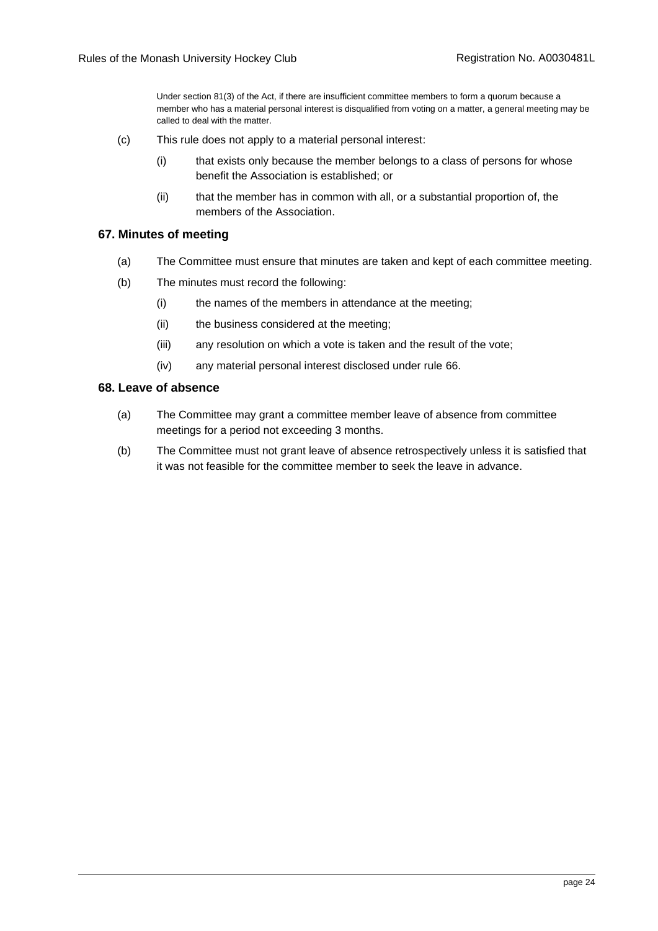Under section 81(3) of the Act, if there are insufficient committee members to form a quorum because a member who has a material personal interest is disqualified from voting on a matter, a general meeting may be called to deal with the matter.

- (c) This rule does not apply to a material personal interest:
	- (i) that exists only because the member belongs to a class of persons for whose benefit the Association is established; or
	- (ii) that the member has in common with all, or a substantial proportion of, the members of the Association.

#### <span id="page-26-0"></span>**67. Minutes of meeting**

- (a) The Committee must ensure that minutes are taken and kept of each committee meeting.
- (b) The minutes must record the following:
	- (i) the names of the members in attendance at the meeting;
	- (ii) the business considered at the meeting;
	- (iii) any resolution on which a vote is taken and the result of the vote;
	- (iv) any material personal interest disclosed under rule [66.](#page-25-3)

#### <span id="page-26-1"></span>**68. Leave of absence**

- (a) The Committee may grant a committee member leave of absence from committee meetings for a period not exceeding 3 months.
- (b) The Committee must not grant leave of absence retrospectively unless it is satisfied that it was not feasible for the committee member to seek the leave in advance.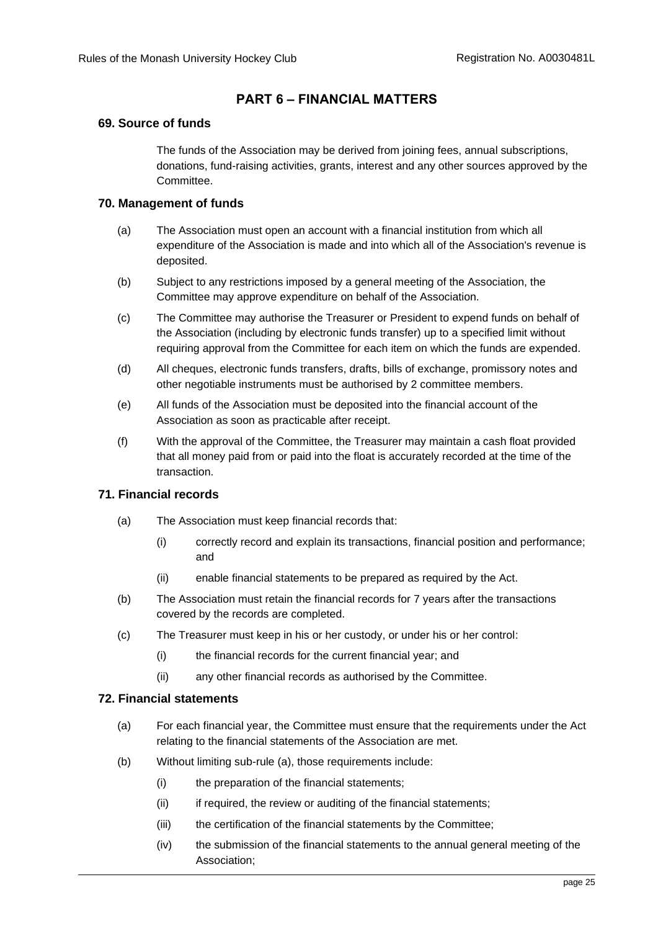# **PART 6 – FINANCIAL MATTERS**

## <span id="page-27-1"></span><span id="page-27-0"></span>**69. Source of funds**

The funds of the Association may be derived from joining fees, annual subscriptions, donations, fund-raising activities, grants, interest and any other sources approved by the Committee.

# <span id="page-27-2"></span>**70. Management of funds**

- (a) The Association must open an account with a financial institution from which all expenditure of the Association is made and into which all of the Association's revenue is deposited.
- (b) Subject to any restrictions imposed by a general meeting of the Association, the Committee may approve expenditure on behalf of the Association.
- (c) The Committee may authorise the Treasurer or President to expend funds on behalf of the Association (including by electronic funds transfer) up to a specified limit without requiring approval from the Committee for each item on which the funds are expended.
- (d) All cheques, electronic funds transfers, drafts, bills of exchange, promissory notes and other negotiable instruments must be authorised by 2 committee members.
- (e) All funds of the Association must be deposited into the financial account of the Association as soon as practicable after receipt.
- (f) With the approval of the Committee, the Treasurer may maintain a cash float provided that all money paid from or paid into the float is accurately recorded at the time of the transaction.

# <span id="page-27-3"></span>**71. Financial records**

- (a) The Association must keep financial records that:
	- (i) correctly record and explain its transactions, financial position and performance; and
	- (ii) enable financial statements to be prepared as required by the Act.
- (b) The Association must retain the financial records for 7 years after the transactions covered by the records are completed.
- <span id="page-27-5"></span>(c) The Treasurer must keep in his or her custody, or under his or her control:
	- (i) the financial records for the current financial year; and
	- (ii) any other financial records as authorised by the Committee.

# <span id="page-27-4"></span>**72. Financial statements**

- (a) For each financial year, the Committee must ensure that the requirements under the Act relating to the financial statements of the Association are met.
- (b) Without limiting sub-rule (a), those requirements include:
	- (i) the preparation of the financial statements;
	- (ii) if required, the review or auditing of the financial statements;
	- (iii) the certification of the financial statements by the Committee;
	- (iv) the submission of the financial statements to the annual general meeting of the Association;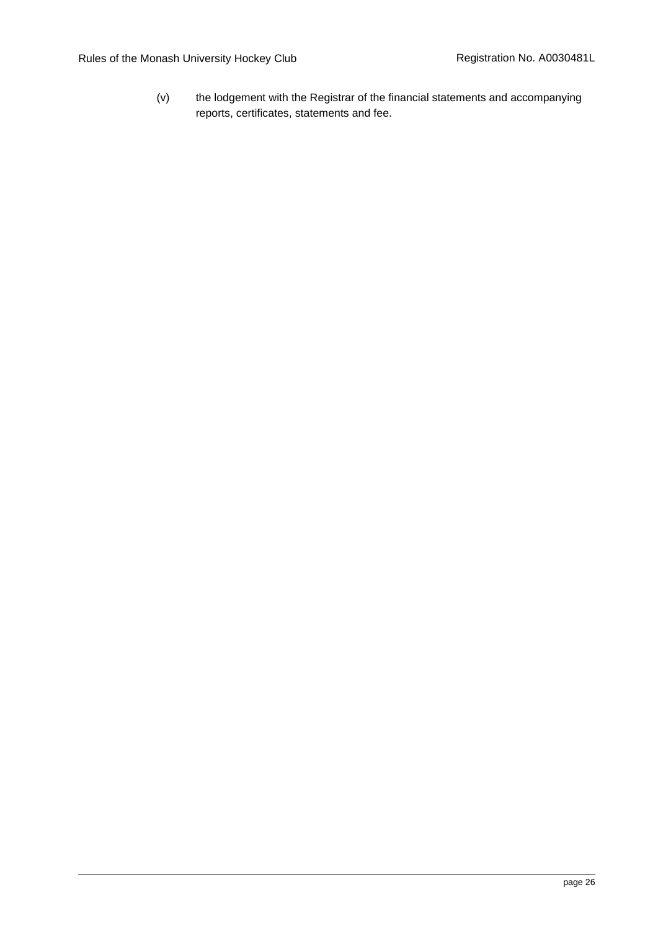(v) the lodgement with the Registrar of the financial statements and accompanying reports, certificates, statements and fee.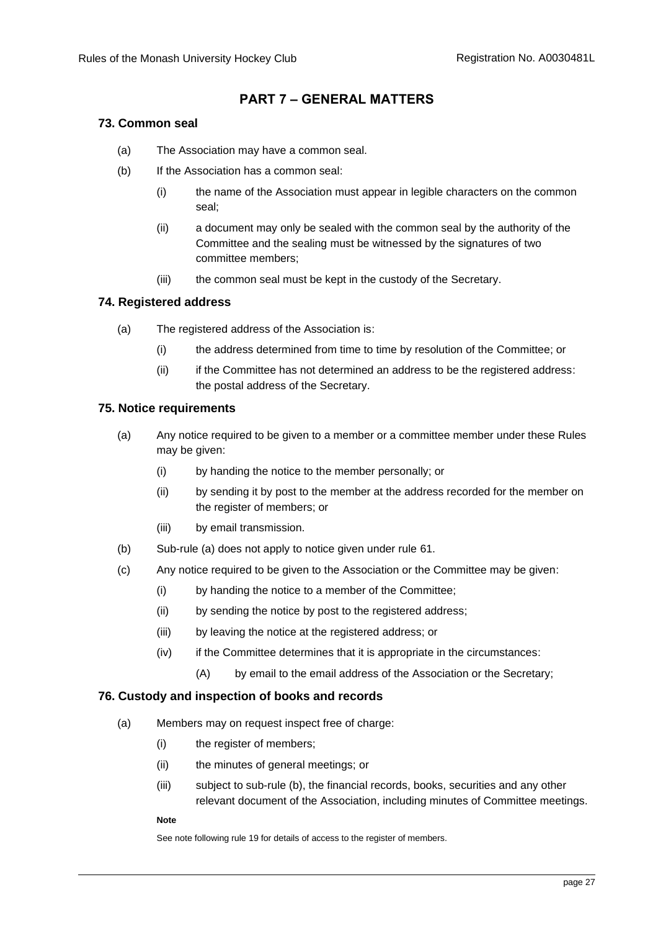# **PART 7 – GENERAL MATTERS**

## <span id="page-29-1"></span><span id="page-29-0"></span>**73. Common seal**

- (a) The Association may have a common seal.
- (b) If the Association has a common seal:
	- (i) the name of the Association must appear in legible characters on the common seal;
	- (ii) a document may only be sealed with the common seal by the authority of the Committee and the sealing must be witnessed by the signatures of two committee members;
	- (iii) the common seal must be kept in the custody of the Secretary.

# <span id="page-29-2"></span>**74. Registered address**

- (a) The registered address of the Association is:
	- (i) the address determined from time to time by resolution of the Committee; or
	- (ii) if the Committee has not determined an address to be the registered address: the postal address of the Secretary.

## <span id="page-29-3"></span>**75. Notice requirements**

- (a) Any notice required to be given to a member or a committee member under these Rules may be given:
	- (i) by handing the notice to the member personally; or
	- (ii) by sending it by post to the member at the address recorded for the member on the register of members; or
	- (iii) by email transmission.
- (b) Sub-rule (a) does not apply to notice given under rule [61.](#page-24-3)
- <span id="page-29-5"></span>(c) Any notice required to be given to the Association or the Committee may be given:
	- (i) by handing the notice to a member of the Committee;
	- (ii) by sending the notice by post to the registered address;
	- (iii) by leaving the notice at the registered address; or
	- (iv) if the Committee determines that it is appropriate in the circumstances:
		- (A) by email to the email address of the Association or the Secretary;

## <span id="page-29-4"></span>**76. Custody and inspection of books and records**

- (a) Members may on request inspect free of charge:
	- (i) the register of members;
	- (ii) the minutes of general meetings; or
	- (iii) subject to sub-rule (b), the financial records, books, securities and any other relevant document of the Association, including minutes of Committee meetings.

#### **Note**

See note following rule [19](#page-9-3) for details of access to the register of members.